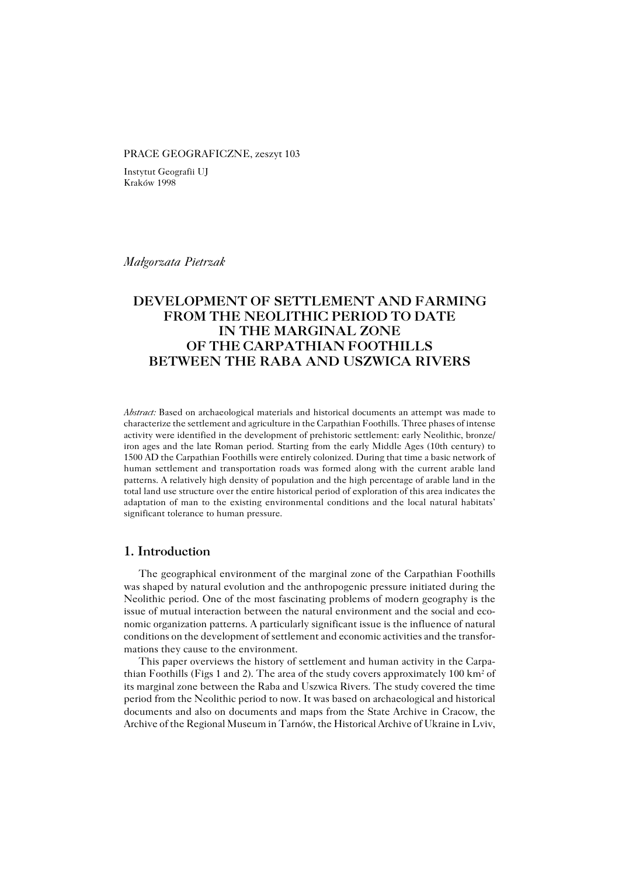#### PRACE GEOGRAFICZNE, zeszyt 103

Instytut Geografii UJ Kraków 1998

*Małgorzata Pietrzak*

# **DEVELOPMENT OF SETTLEMENT AND FARMING FROM THE NEOLITHIC PERIOD TO DATE IN THE MARGINAL ZONE OF THE CARPATHIAN FOOTHILLS BETWEEN THE RABA AND USZWICA RIVERS**

*Abstract:* Based on archaeological materials and historical documents an attempt was made to characterize the settlement and agriculture in the Carpathian Foothills. Three phases of intense activity were identified in the development of prehistoric settlement: early Neolithic, bronze/ iron ages and the late Roman period. Starting from the early Middle Ages (10th century) to 1500 AD the Carpathian Foothills were entirely colonized. During that time a basic network of human settlement and transportation roads was formed along with the current arable land patterns. A relatively high density of population and the high percentage of arable land in the total land use structure over the entire historical period of exploration of this area indicates the adaptation of man to the existing environmental conditions and the local natural habitats' significant tolerance to human pressure.

## **1. Introduction**

The geographical environment of the marginal zone of the Carpathian Foothills was shaped by natural evolution and the anthropogenic pressure initiated during the Neolithic period. One of the most fascinating problems of modern geography is the issue of mutual interaction between the natural environment and the social and eco− nomic organization patterns. A particularly significant issue is the influence of natural conditions on the development of settlement and economic activities and the transfor− mations they cause to the environment.

This paper overviews the history of settlement and human activity in the Carpa– thian Foothills (Figs 1 and 2). The area of the study covers approximately 100 km<sup>2</sup> of its marginal zone between the Raba and Uszwica Rivers. The study covered the time period from the Neolithic period to now. It was based on archaeological and historical documents and also on documents and maps from the State Archive in Cracow, the Archive of the Regional Museum in Tarnów, the Historical Archive of Ukraine in Lviv,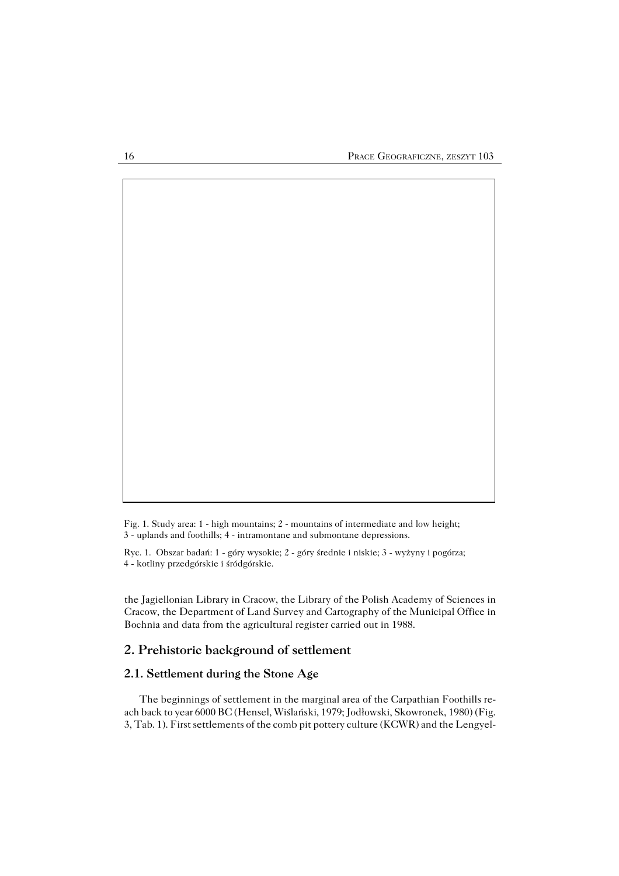Fig. 1. Study area: 1 − high mountains; 2 − mountains of intermediate and low height; 3 − uplands and foothills; 4 − intramontane and submontane depressions.

Ryc. 1. Obszar badań: 1 − góry wysokie; 2 − góry średnie i niskie; 3 − wyżyny i pogórza; 4 − kotliny przedgórskie i śródgórskie.

the Jagiellonian Library in Cracow, the Library of the Polish Academy of Sciences in Cracow, the Department of Land Survey and Cartography of the Municipal Office in Bochnia and data from the agricultural register carried out in 1988.

## **2. Prehistoric background of settlement**

### **2.1. Settlement during the Stone Age**

The beginnings of settlement in the marginal area of the Carpathian Foothills re− ach back to year 6000 BC (Hensel, Wiślański, 1979; Jodłowski, Skowronek, 1980) (Fig. 3, Tab. 1). First settlements of the comb pit pottery culture (KCWR) and the Lengyel−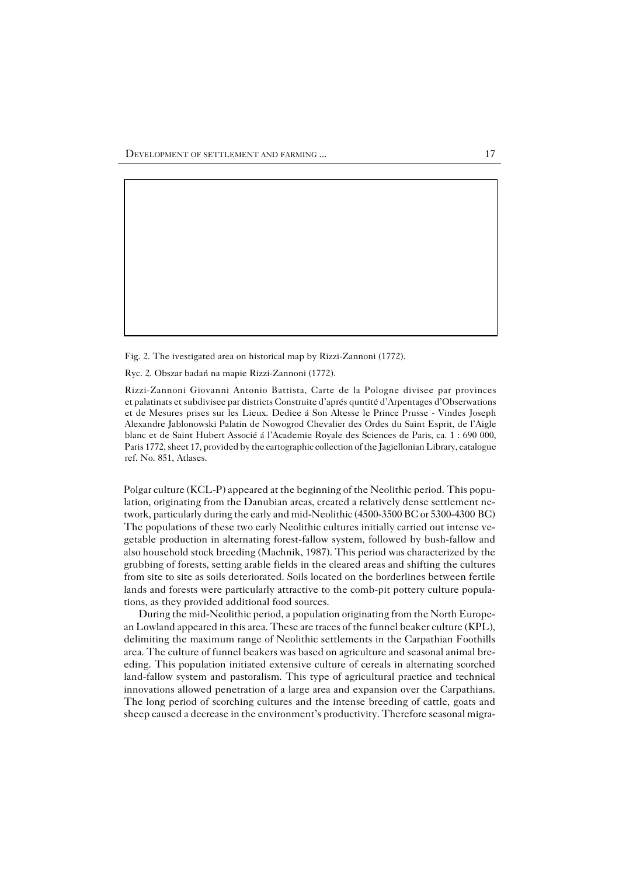Fig. 2. The ivestigated area on historical map by Rizzi−Zannoni (1772).

Ryc. 2. Obszar badań na mapie Rizzi−Zannoni (1772).

Rizzi−Zannoni Giovanni Antonio Battista, Carte de la Pologne divisee par provinces et palatinats et subdivisee par districts Construite d'aprés quntité d'Arpentages d'Obserwations et de Mesures prises sur les Lieux. Dediee á Son Altesse le Prince Prusse − Vindes Joseph Alexandre Jablonowski Palatin de Nowogrod Chevalier des Ordes du Saint Esprit, de l'Aigle blanc et de Saint Hubert Associé á l'Academie Royale des Sciences de Paris, ca. 1 : 690 000, Paris 1772, sheet 17, provided by the cartographic collection of the Jagiellonian Library, catalogue ref. No. 851, Atlases.

Polgar culture (KCL−P) appeared at the beginning of the Neolithic period. This popu− lation, originating from the Danubian areas, created a relatively dense settlement ne− twork, particularly during the early and mid−Neolithic (4500−3500 BC or 5300−4300BC) The populations of these two early Neolithic cultures initially carried out intense ve− getable production in alternating forest−fallow system, followed by bush−fallow and also household stock breeding (Machnik, 1987). This period was characterized by the grubbing of forests, setting arable fields in the cleared areas and shifting the cultures from site to site as soils deteriorated. Soils located on the borderlines between fertile lands and forests were particularly attractive to the comb−pit pottery culture popula− tions, as they provided additional food sources.

During the mid−Neolithic period, a population originating from the North Europe− an Lowland appeared in this area. These are traces of the funnel beaker culture (KPL), delimiting the maximum range of Neolithic settlements in the Carpathian Foothills area. The culture of funnel beakers was based on agriculture and seasonal animal bre− eding. This population initiated extensive culture of cereals in alternating scorched land−fallow system and pastoralism. This type of agricultural practice and technical innovations allowed penetration of a large area and expansion over the Carpathians. The long period of scorching cultures and the intense breeding of cattle, goats and sheep caused a decrease in the environment's productivity. Therefore seasonal migra−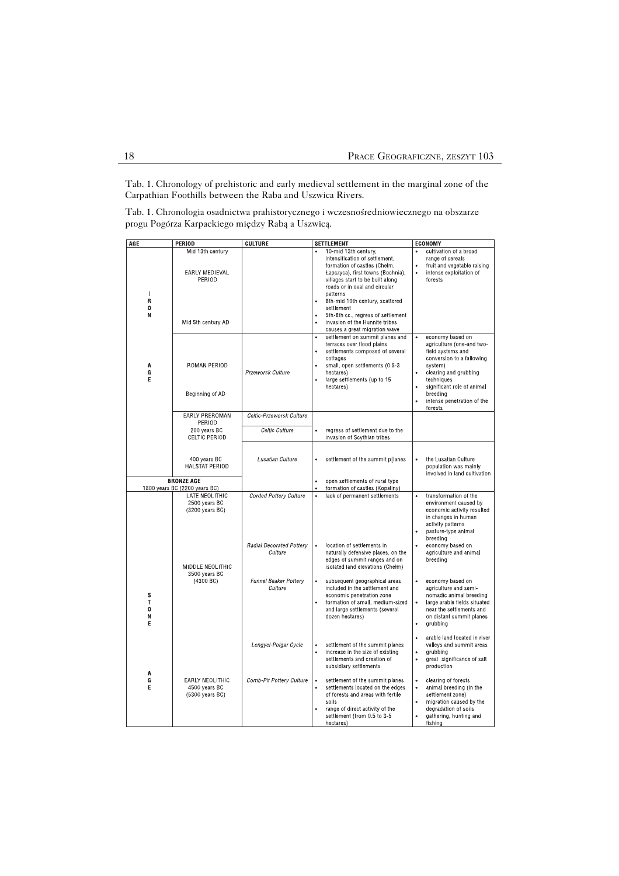Tab. 1. Chronology of prehistoric and early medieval settlement in the marginal zone of the Carpathian Foothills between the Raba and Uszwica Rivers.

Tab. 1. Chronologia osadnictwa prahistorycznego i wczesnośredniowiecznego na obszarze progu Pogórza Karpackiego między Rabą a Uszwicą.

| AGE                   | <b>PERIOD</b>                                                             | <b>CULTURE</b>                      | <b>SETTLEMENT</b>                                                                                                                                                                                                                                                                                                                                                                                | <b>ECONOMY</b>                                                                                                                                                                                                                                    |
|-----------------------|---------------------------------------------------------------------------|-------------------------------------|--------------------------------------------------------------------------------------------------------------------------------------------------------------------------------------------------------------------------------------------------------------------------------------------------------------------------------------------------------------------------------------------------|---------------------------------------------------------------------------------------------------------------------------------------------------------------------------------------------------------------------------------------------------|
| п<br>R<br>0<br>Ν      | Mid 13th century<br><b>EARLY MEDIEVAL</b><br>PERIOD<br>Mid 5th century AD |                                     | 10-mid 13th century,<br>$\bullet$<br>intensification of settlement,<br>formation of castles (Chełm,<br>Łapczyca), first towns (Bochnia),<br>villages start to be built along<br>roads or in oval and circular<br>patterns<br>8th-mid 10th century, scattered<br>$\bullet$<br>settlement<br>5th-8th cc., regress of settlement<br>invasion of the Hunnite tribes<br>causes a great migration wave | cultivation of a broad<br>$\bullet$<br>range of cereals<br>fruit and vegetable raising<br>intense exploitation of<br>$\bullet$<br>forests                                                                                                         |
| Α<br>G<br>E           | ROMAN PERIOD<br>Beginning of AD                                           | Przeworsk Culture                   | settlement on summit planes and<br>$\bullet$<br>terraces over flood plains<br>$\bullet$<br>settlements composed of several<br>cottages<br>small, open settlements (0.5-3<br>$\bullet$<br>hectares)<br>large settlements (up to 15<br>٠<br>hectares)                                                                                                                                              | economy based on<br>$\bullet$<br>agriculture (one-and two-<br>field systems and<br>conversion to a fallowing<br>system)<br>clearing and grubbing<br>techniques<br>significant role of animal<br>breeding<br>intense penetration of the<br>forests |
|                       | EARLY PREROMAN<br>PERIOD                                                  | Celtic-Przeworsk Culture            |                                                                                                                                                                                                                                                                                                                                                                                                  |                                                                                                                                                                                                                                                   |
|                       | 200 years BC                                                              | Celtic Culture                      | $\bullet$<br>regress of settlement due to the                                                                                                                                                                                                                                                                                                                                                    |                                                                                                                                                                                                                                                   |
|                       | CELTIC PERIOD<br>400 years BC                                             | Lusatian Culture                    | invasion of Scythian tribes<br>settlement of the summit p[lanes<br>$\bullet$                                                                                                                                                                                                                                                                                                                     | the Lusatian Culture<br>$\bullet$                                                                                                                                                                                                                 |
|                       | HALSTAT PERIOD                                                            |                                     |                                                                                                                                                                                                                                                                                                                                                                                                  | population was mainly<br>involved in land cultivation.                                                                                                                                                                                            |
|                       | <b>BRONZE AGE</b>                                                         |                                     | open settlements of rural type<br>$\bullet$                                                                                                                                                                                                                                                                                                                                                      |                                                                                                                                                                                                                                                   |
|                       | 1800 years BC (2200 years BC)<br>LATE NEOLITHIC                           | <b>Corded Pottery Culture</b>       | formation of castles (Kopaliny)<br>$\bullet$<br>lack of permanent settlements                                                                                                                                                                                                                                                                                                                    | transformation of the<br>$\bullet$                                                                                                                                                                                                                |
|                       | 2500 years BC<br>(3200 years BC)<br>MIDDLE NEOLITHIC<br>3500 years BC     | Radial Decorated Pottery<br>Culture | location of settlements in<br>naturally defensive places, on the<br>edges of summit ranges and on<br>isolated land elevations (Chełm)                                                                                                                                                                                                                                                            | environment caused by<br>economic activity resulted<br>in changes in human<br>activity patterns<br>pasture-type animal<br>breeding<br>economy based on<br>agriculture and animal<br>breeding                                                      |
| S<br>Т<br>0<br>N<br>E | (4300 BC)                                                                 | Funnel Beaker Pottery<br>Culture    | subsequent geographical areas<br>$\bullet$<br>included in the settlement and<br>economic penetration zone<br>formation of small, medium-sized<br>٠<br>and large settlements (several<br>dozen hectares)                                                                                                                                                                                          | economy based on<br>$\bullet$<br>agriculture and semi-<br>nomadic animal breeding<br>large arable fields situated<br>$\bullet$<br>near the settlements and<br>on distant summit planes<br>grubbing                                                |
| A                     |                                                                           | Lengyel-Polgar Cycle                | settlement of the summit planes<br>٠<br>$\bullet$<br>increase in the size of existing<br>settlements and creation of<br>subsidiary settlements                                                                                                                                                                                                                                                   | arable land located in river<br>valleys and summit areas<br>arubbina<br>$\bullet$<br>$\bullet$<br>great significance of salt<br>production                                                                                                        |
| G<br>E                | EARLY NEOLITHIC<br>4500 years BC<br>(5300 years BC)                       | Comb-Pit Pottery Culture            | settlement of the summit planes<br>٠<br>settlements located on the edges<br>of forests and areas with fertile<br>soils<br>range of direct activity of the<br>settlement (from 0.5 to 3-5<br>hectares)                                                                                                                                                                                            | $\bullet$<br>clearing of forests<br>animal breeding (in the<br>$\bullet$<br>settlement zone)<br>migration caused by the<br>degradation of soils<br>gathering, hunting and<br>$\bullet$<br>fishing                                                 |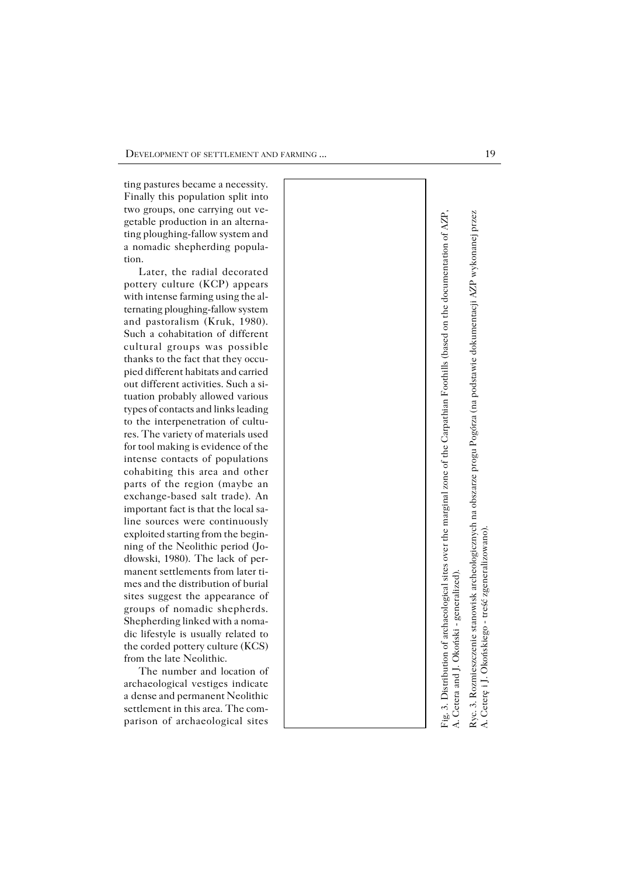ting pastures became a necessity. Finally this population split into two groups, one carrying out ve− getable production in an alterna− ting ploughing−fallow system and a nomadic shepherding popula− tion.

Later, the radial decorated pottery culture (KCP) appears with intense farming using the al− ternating ploughing−fallow system and pastoralism (Kruk, 1980). Such a cohabitation of different cultural groups was possible thanks to the fact that they occu− pied different habitats and carried out different activities. Such a si− tuation probably allowed various types of contacts and links leading to the interpenetration of cultu− res. The variety of materials used for tool making is evidence of the intense contacts of populations cohabiting this area and other parts of the region (maybe an exchange−based salt trade). An important fact is that the local sa− line sources were continuously exploited starting from the begin− ning of the Neolithic period (Jo− dłowski, 1980). The lack of per− manent settlements from later ti− mes and the distribution of burial sites suggest the appearance of groups of nomadic shepherds. Shepherding linked with a noma− dic lifestyle is usually related to the corded pottery culture (KCS) from the late Neolithic.

The number and location of archaeological vestiges indicate a dense and permanent Neolithic settlement in this area. The com− parison of archaeological sites



Ryc. 3. Rozmieszczenie stanowisk archeologicznych na obszarze progu Pogórza (na podstawie dokumentacji AZP wykonanej przez Ryc. 3. Rozmieszczenie stanowisk archeologicznych na obszarze progu Pogórza (na podstawie dokumentacji AZP wykonanej przez A. Ceterę i J. Okońskiego - treść zgeneralizowano). A. Ceterę i J. Okońskiego − treść zgeneralizowano).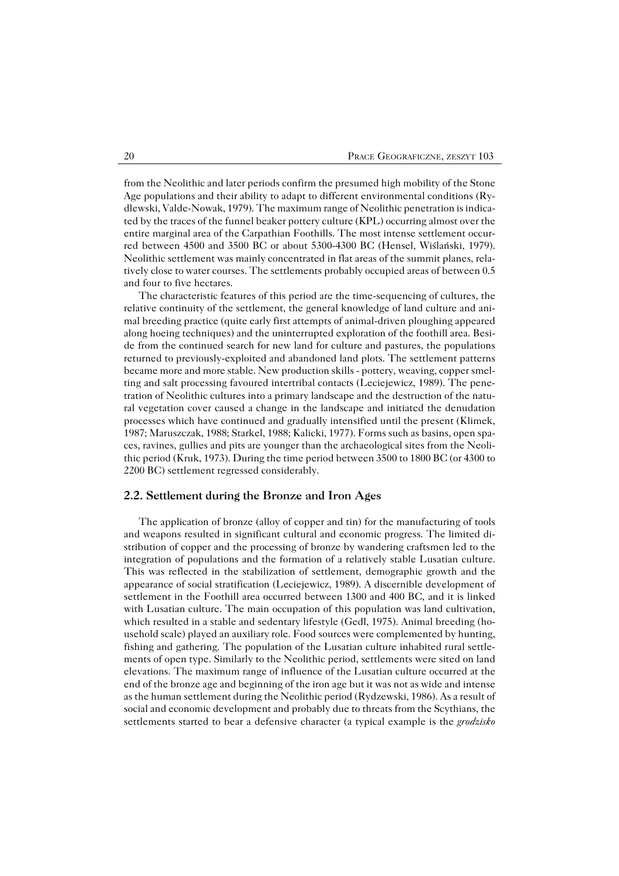from the Neolithic and later periods confirm the presumed high mobility of the Stone Age populations and their ability to adapt to different environmental conditions (Ry− dlewski, Valde−Nowak, 1979). The maximum range of Neolithic penetration is indica− ted by the traces of the funnel beaker pottery culture (KPL) occurring almost over the entire marginal area of the Carpathian Foothills. The most intense settlement occur− red between 4500 and 3500 BC or about 5300−4300 BC (Hensel, Wiślański, 1979). Neolithic settlement was mainly concentrated in flat areas of the summit planes, rela− tively close to water courses. The settlements probably occupied areas of between 0.5 and four to five hectares.

The characteristic features of this period are the time−sequencing of cultures, the relative continuity of the settlement, the general knowledge of land culture and ani− mal breeding practice (quite early first attempts of animal−driven ploughing appeared along hoeing techniques) and the uninterrupted exploration of the foothill area. Besi− de from the continued search for new land for culture and pastures, the populations returned to previously−exploited and abandoned land plots. The settlement patterns became more and more stable. New production skills − pottery, weaving, copper smel− ting and salt processing favoured intertribal contacts (Leciejewicz, 1989). The pene− tration of Neolithic cultures into a primary landscape and the destruction of the natu− ral vegetation cover caused a change in the landscape and initiated the denudation processes which have continued and gradually intensified until the present (Klimek, 1987; Maruszczak, 1988; Starkel, 1988; Kalicki, 1977). Forms such as basins, open spa− ces, ravines, gullies and pits are younger than the archaeological sites from the Neoli− thic period (Kruk, 1973). During the time period between 3500 to 1800 BC (or 4300 to 2200 BC) settlement regressed considerably.

#### **2.2. Settlement during the Bronze and Iron Ages**

The application of bronze (alloy of copper and tin) for the manufacturing of tools and weapons resulted in significant cultural and economic progress. The limited di− stribution of copper and the processing of bronze by wandering craftsmen led to the integration of populations and the formation of a relatively stable Lusatian culture. This was reflected in the stabilization of settlement, demographic growth and the appearance of social stratification (Leciejewicz, 1989). A discernible development of settlement in the Foothill area occurred between 1300 and 400 BC, and it is linked with Lusatian culture. The main occupation of this population was land cultivation, which resulted in a stable and sedentary lifestyle (Gedl, 1975). Animal breeding (ho− usehold scale) played an auxiliary role. Food sources were complemented by hunting, fishing and gathering. The population of the Lusatian culture inhabited rural settle− ments of open type. Similarly to the Neolithic period, settlements were sited on land elevations. The maximum range of influence of the Lusatian culture occurred at the end of the bronze age and beginning of the iron age but it was not as wide and intense as the human settlement during the Neolithic period (Rydzewski, 1986). As a result of social and economic development and probably due to threats from the Scythians, the settlements started to bear a defensive character (a typical example is the *grodzisko*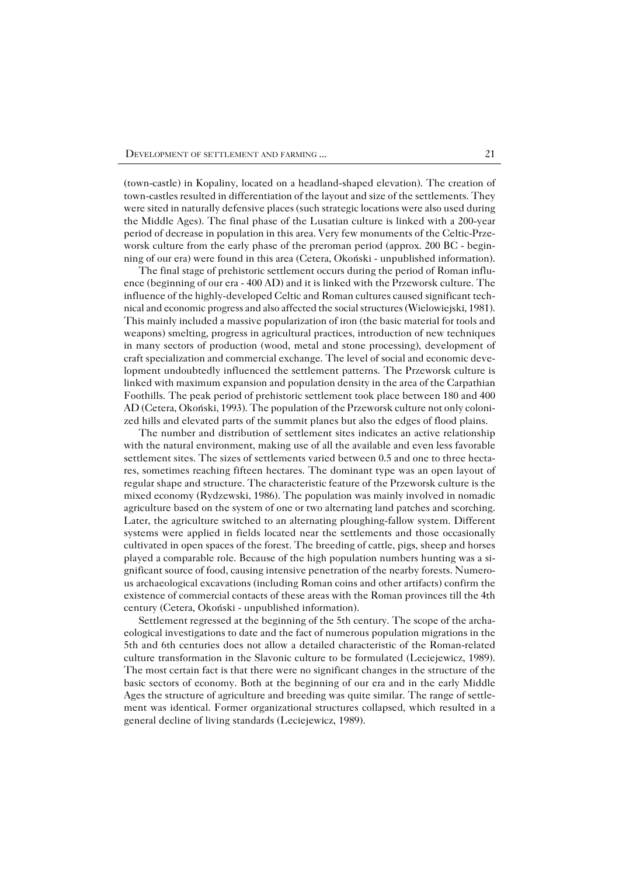(town−castle) in Kopaliny, located on a headland−shaped elevation). The creation of town−castles resulted in differentiation of the layout and size of the settlements. They were sited in naturally defensive places (such strategic locations were also used during the Middle Ages). The final phase of the Lusatian culture is linked with a 200−year period of decrease in population in this area. Very few monuments of the Celtic−Prze− worsk culture from the early phase of the preroman period (approx. 200 BC − begin− ning of our era) were found in this area (Cetera, Okoński − unpublished information).

The final stage of prehistoric settlement occurs during the period of Roman influ− ence (beginning of our era − 400 AD) and it is linked with the Przeworsk culture. The influence of the highly−developed Celtic and Roman cultures caused significant tech− nical and economic progress and also affected the social structures (Wielowiejski, 1981). This mainly included a massive popularization of iron (the basic material for tools and weapons) smelting, progress in agricultural practices, introduction of new techniques in many sectors of production (wood, metal and stone processing), development of craft specialization and commercial exchange. The level of social and economic deve− lopment undoubtedly influenced the settlement patterns. The Przeworsk culture is linked with maximum expansion and population density in the area of the Carpathian Foothills. The peak period of prehistoric settlement took place between 180 and 400 AD (Cetera, Okoński, 1993). The population of the Przeworsk culture not only coloni− zed hills and elevated parts of the summit planes but also the edges of flood plains.

The number and distribution of settlement sites indicates an active relationship with the natural environment, making use of all the available and even less favorable settlement sites. The sizes of settlements varied between 0.5 and one to three hecta− res, sometimes reaching fifteen hectares. The dominant type was an open layout of regular shape and structure. The characteristic feature of the Przeworsk culture is the mixed economy (Rydzewski, 1986). The population was mainly involved in nomadic agriculture based on the system of one or two alternating land patches and scorching. Later, the agriculture switched to an alternating ploughing−fallow system. Different systems were applied in fields located near the settlements and those occasionally cultivated in open spaces of the forest. The breeding of cattle, pigs, sheep and horses played a comparable role. Because of the high population numbers hunting was a si− gnificant source of food, causing intensive penetration of the nearby forests. Numero− us archaeological excavations (including Roman coins and other artifacts) confirm the existence of commercial contacts of these areas with the Roman provinces till the 4th century (Cetera, Okoński − unpublished information).

Settlement regressed at the beginning of the 5th century. The scope of the archa− eological investigations to date and the fact of numerous population migrations in the 5th and 6th centuries does not allow a detailed characteristic of the Roman−related culture transformation in the Slavonic culture to be formulated (Leciejewicz, 1989). The most certain fact is that there were no significant changes in the structure of the basic sectors of economy. Both at the beginning of our era and in the early Middle Ages the structure of agriculture and breeding was quite similar. The range of settle− ment was identical. Former organizational structures collapsed, which resulted in a general decline of living standards (Leciejewicz, 1989).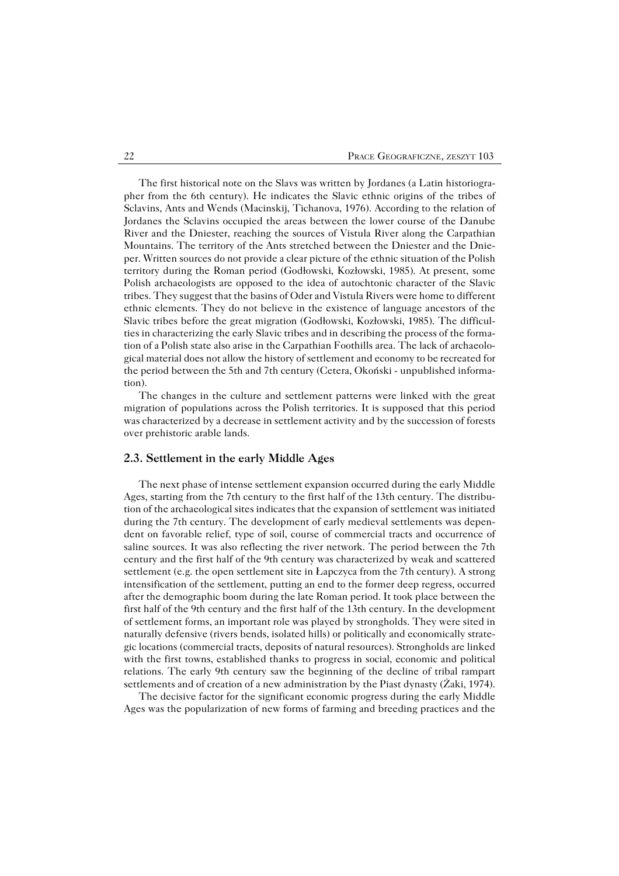The first historical note on the Slavs was written by Jordanes (a Latin historiogra− pher from the 6th century). He indicates the Slavic ethnic origins of the tribes of Sclavins, Ants and Wends (Macinskij, Tichanova, 1976). According to the relation of Jordanes the Sclavins occupied the areas between the lower course of the Danube River and the Dniester, reaching the sources of Vistula River along the Carpathian Mountains. The territory of the Ants stretched between the Dniester and the Dnie− per. Written sources do not provide a clear picture of the ethnic situation of the Polish territory during the Roman period (Godłowski, Kozłowski, 1985). At present, some Polish archaeologists are opposed to the idea of autochtonic character of the Slavic tribes. They suggest that the basins of Oder and Vistula Rivers were home to different ethnic elements. They do not believe in the existence of language ancestors of the Slavic tribes before the great migration (Godłowski, Kozłowski, 1985). The difficul− ties in characterizing the early Slavic tribes and in describing the process of the forma− tion of a Polish state also arise in the Carpathian Foothills area. The lack of archaeolo− gical material does not allow the history of settlement and economy to be recreated for the period between the 5th and 7th century (Cetera, Okoński − unpublished informa− tion).

The changes in the culture and settlement patterns were linked with the great migration of populations across the Polish territories. It is supposed that this period was characterized by a decrease in settlement activity and by the succession of forests over prehistoric arable lands.

#### **2.3. Settlement in the early Middle Ages**

The next phase of intense settlement expansion occurred during the early Middle Ages, starting from the 7th century to the first half of the 13th century. The distribu− tion of the archaeological sites indicates that the expansion of settlement was initiated during the 7th century. The development of early medieval settlements was depen− dent on favorable relief, type of soil, course of commercial tracts and occurrence of saline sources. It was also reflecting the river network. The period between the 7th century and the first half of the 9th century was characterized by weak and scattered settlement (e.g. the open settlement site in Łapczyca from the 7th century). A strong intensification of the settlement, putting an end to the former deep regress, occurred after the demographic boom during the late Roman period. It took place between the first half of the 9th century and the first half of the 13th century. In the development of settlement forms, an important role was played by strongholds. They were sited in naturally defensive (rivers bends, isolated hills) or politically and economically strate− gic locations (commercial tracts, deposits of natural resources). Strongholds are linked with the first towns, established thanks to progress in social, economic and political relations. The early 9th century saw the beginning of the decline of tribal rampart settlements and of creation of a new administration by the Piast dynasty (Żaki, 1974).

The decisive factor for the significant economic progress during the early Middle Ages was the popularization of new forms of farming and breeding practices and the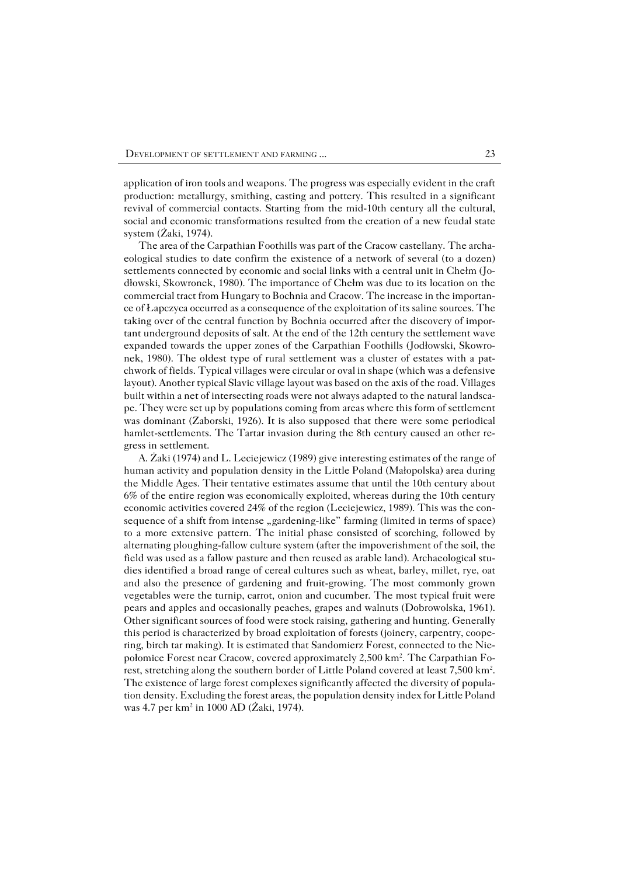application of iron tools and weapons. The progress was especially evident in the craft production: metallurgy, smithing, casting and pottery. This resulted in a significant revival of commercial contacts. Starting from the mid−10th century all the cultural, social and economic transformations resulted from the creation of a new feudal state system (Żaki, 1974).

The area of the Carpathian Foothills was part of the Cracow castellany. The archa− eological studies to date confirm the existence of a network of several (to a dozen) settlements connected by economic and social links with a central unit in Chełm (Jo− dłowski, Skowronek, 1980). The importance of Chełm was due to its location on the commercial tract from Hungary to Bochnia and Cracow. The increase in the importan− ce of Łapczyca occurred as a consequence of the exploitation of its saline sources. The taking over of the central function by Bochnia occurred after the discovery of impor− tant underground deposits of salt. At the end of the 12th century the settlement wave expanded towards the upper zones of the Carpathian Foothills (Jodłowski, Skowro− nek, 1980). The oldest type of rural settlement was a cluster of estates with a pat− chwork of fields. Typical villages were circular or oval in shape (which was a defensive layout). Another typical Slavic village layout was based on the axis of the road. Villages built within a net of intersecting roads were not always adapted to the natural landsca− pe. They were set up by populations coming from areas where this form of settlement was dominant (Zaborski, 1926). It is also supposed that there were some periodical hamlet−settlements. The Tartar invasion during the 8th century caused an other re− gress in settlement.

A. Żaki (1974) and L. Leciejewicz (1989) give interesting estimates of the range of human activity and population density in the Little Poland (Małopolska) area during the Middle Ages. Their tentative estimates assume that until the 10th century about 6% of the entire region was economically exploited, whereas during the 10th century economic activities covered 24% of the region (Leciejewicz, 1989). This was the con− sequence of a shift from intense "gardening-like" farming (limited in terms of space) to a more extensive pattern. The initial phase consisted of scorching, followed by alternating ploughing−fallow culture system (after the impoverishment of the soil, the field was used as a fallow pasture and then reused as arable land). Archaeological stu− dies identified a broad range of cereal cultures such as wheat, barley, millet, rye, oat and also the presence of gardening and fruit−growing. The most commonly grown vegetables were the turnip, carrot, onion and cucumber. The most typical fruit were pears and apples and occasionally peaches, grapes and walnuts (Dobrowolska, 1961). Other significant sources of food were stock raising, gathering and hunting. Generally this period is characterized by broad exploitation of forests (joinery, carpentry, coope− ring, birch tar making). It is estimated that Sandomierz Forest, connected to the Nie− połomice Forest near Cracow, covered approximately 2,500 km<sup>2</sup>. The Carpathian Forest, stretching along the southern border of Little Poland covered at least 7,500 km<sup>2</sup> . The existence of large forest complexes significantly affected the diversity of popula– tion density. Excluding the forest areas, the population density index for Little Poland was 4.7 per km<sup>2</sup> in 1000 AD (Żaki, 1974).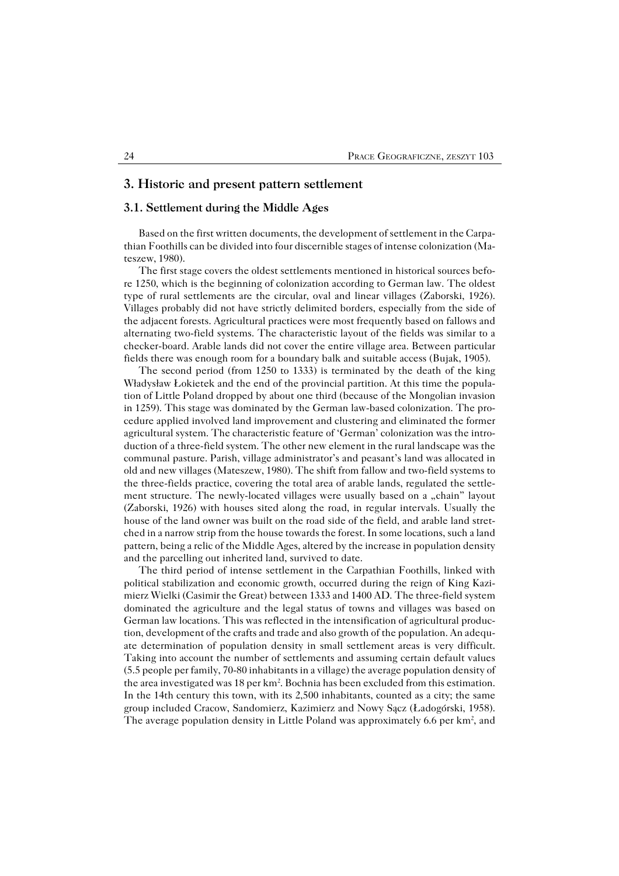#### **3. Historic and present pattern settlement**

### **3.1. Settlement during the Middle Ages**

Based on the first written documents, the development of settlement in the Carpathian Foothills can be divided into four discernible stages of intense colonization (Ma− teszew, 1980).

The first stage covers the oldest settlements mentioned in historical sources befo− re 1250, which is the beginning of colonization according to German law. The oldest type of rural settlements are the circular, oval and linear villages (Zaborski, 1926). Villages probably did not have strictly delimited borders, especially from the side of the adjacent forests. Agricultural practices were most frequently based on fallows and alternating two−field systems. The characteristic layout of the fields was similar to a checker−board. Arable lands did not cover the entire village area. Between particular fields there was enough room for a boundary balk and suitable access (Bujak, 1905).

The second period (from 1250 to 1333) is terminated by the death of the king Władysław Łokietek and the end of the provincial partition. At this time the popula− tion of Little Poland dropped by about one third (because of the Mongolian invasion in 1259). This stage was dominated by the German law−based colonization. The pro− cedure applied involved land improvement and clustering and eliminated the former agricultural system. The characteristic feature of 'German' colonization was the intro− duction of a three−field system. The other new element in the rural landscape was the communal pasture. Parish, village administrator's and peasant's land was allocated in old and new villages (Mateszew, 1980). The shift from fallow and two−field systems to the three−fields practice, covering the total area of arable lands, regulated the settle− ment structure. The newly-located villages were usually based on a "chain" layout (Zaborski, 1926) with houses sited along the road, in regular intervals. Usually the house of the land owner was built on the road side of the field, and arable land stret− ched in a narrow strip from the house towards the forest. In some locations, such a land pattern, being a relic of the Middle Ages, altered by the increase in population density and the parcelling out inherited land, survived to date.

The third period of intense settlement in the Carpathian Foothills, linked with political stabilization and economic growth, occurred during the reign of King Kazi− mierz Wielki (Casimir the Great) between 1333 and 1400 AD. The three−field system dominated the agriculture and the legal status of towns and villages was based on German law locations. This was reflected in the intensification of agricultural produc− tion, development of the crafts and trade and also growth of the population. An adequ− ate determination of population density in small settlement areas is very difficult. Taking into account the number of settlements and assuming certain default values (5.5 people per family, 70−80 inhabitants in a village) the average population density of the area investigated was  $18$  per km<sup>2</sup>. Bochnia has been excluded from this estimation. In the 14th century this town, with its 2,500 inhabitants, counted as a city; the same group included Cracow, Sandomierz, Kazimierz and Nowy Sącz (Ładogórski, 1958). The average population density in Little Poland was approximately 6.6 per km<sup>2</sup>, and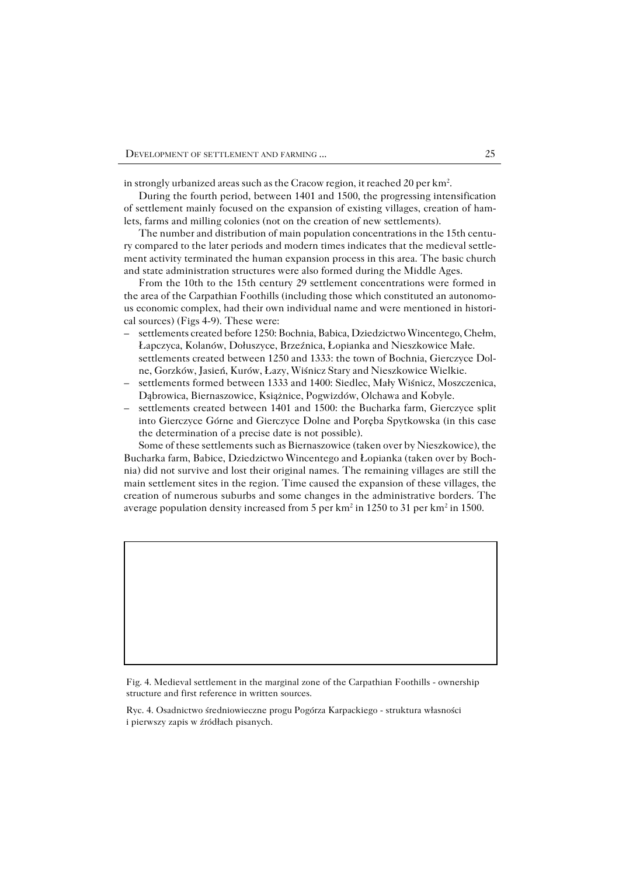in strongly urbanized areas such as the Cracow region, it reached 20 per km<sup>2</sup>.

During the fourth period, between 1401 and 1500, the progressing intensification of settlement mainly focused on the expansion of existing villages, creation of ham− lets, farms and milling colonies (not on the creation of new settlements).

The number and distribution of main population concentrations in the 15th centu− ry compared to the later periods and modern times indicates that the medieval settle− ment activity terminated the human expansion process in this area. The basic church and state administration structures were also formed during the Middle Ages.

From the 10th to the 15th century 29 settlement concentrations were formed in the area of the Carpathian Foothills (including those which constituted an autonomo− us economic complex, had their own individual name and were mentioned in histori− cal sources) (Figs 4−9). These were:

- settlements created before 1250: Bochnia, Babica, Dziedzictwo Wincentego, Chełm, Łapczyca, Kolanów, Dołuszyce, Brzeźnica, Łopianka and Nieszkowice Małe. settlements created between 1250 and 1333: the town of Bochnia, Gierczyce Dol− ne, Gorzków, Jasień, Kurów, Łazy, Wiśnicz Stary and Nieszkowice Wielkie. –
- settlements formed between 1333 and 1400: Siedlec, Mały Wiśnicz, Moszczenica, Dąbrowica, Biernaszowice, Książnice, Pogwizdów, Olchawa and Kobyle. –
- settlements created between 1401 and 1500: the Bucharka farm, Gierczyce split into Gierczyce Górne and Gierczyce Dolne and Poręba Spytkowska (in this case the determination of a precise date is not possible). –

Some of these settlements such as Biernaszowice (taken over by Nieszkowice), the Bucharka farm, Babice, Dziedzictwo Wincentego and Łopianka (taken over by Boch− nia) did not survive and lost their original names. The remaining villages are still the main settlement sites in the region. Time caused the expansion of these villages, the creation of numerous suburbs and some changes in the administrative borders. The average population density increased from 5 per  $km^2$  in 1250 to 31 per  $km^2$  in 1500.

Fig. 4. Medieval settlement in the marginal zone of the Carpathian Foothills − ownership structure and first reference in written sources.

Ryc. 4. Osadnictwo średniowieczne progu Pogórza Karpackiego − struktura własności i pierwszy zapis w źródłach pisanych.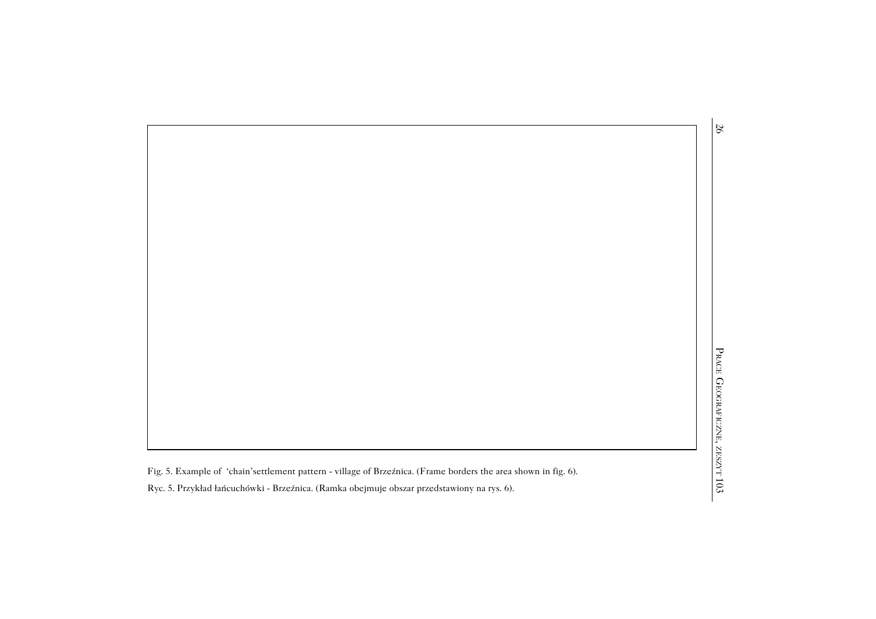26

, ZES<br>Fig. 5. Example of 'chain'settlement pattern − village of Brzeźnica. (Frame borders the area shown in fig. 6).

103Ryc. 5. Przykład łańcuchówki − Brzeźnica. (Ramka obejmuje obszar przedstawiony na rys. 6).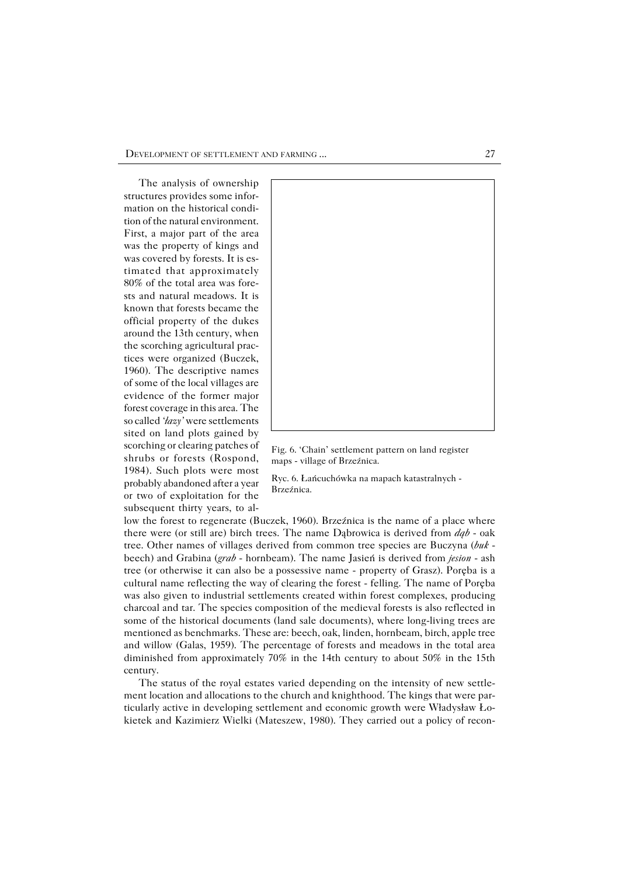The analysis of ownership structures provides some infor− mation on the historical condi− tion of the natural environment. First, a major part of the area was the property of kings and was covered by forests. It is es− timated that approximately 80% of the total area was fore− sts and natural meadows. It is known that forests became the official property of the dukes around the 13th century, when the scorching agricultural prac− tices were organized (Buczek, 1960). The descriptive names of some of the local villages are evidence of the former major forest coverage in this area. The so called *'łazy'* were settlements sited on land plots gained by scorching or clearing patches of shrubs or forests (Rospond, 1984). Such plots were most probably abandoned after a year or two of exploitation for the subsequent thirty years, to al−



Fig. 6. 'Chain' settlement pattern on land register maps − village of Brzeźnica.

Ryc. 6. Łańcuchówka na mapach katastralnych − Brzeźnica.

low the forest to regenerate (Buczek, 1960). Brzeźnica is the name of a place where there were (or still are) birch trees. The name Dąbrowica is derived from *dąb* − oak tree. Other names of villages derived from common tree species are Buczyna (*buk* − beech) and Grabina (*grab* − hornbeam). The name Jasień is derived from *jesion* − ash tree (or otherwise it can also be apossessive name − property of Grasz). Poręba is a cultural name reflecting the way of clearing the forest − felling. The name of Poręba was also given to industrial settlements created within forest complexes, producing charcoal and tar. The species composition of the medieval forests is also reflected in some of the historical documents (land sale documents), where long−living trees are mentioned as benchmarks. These are: beech, oak, linden, hornbeam, birch, apple tree and willow (Galas, 1959). The percentage of forests and meadows in the total area diminished from approximately 70% in the 14th century to about 50% in the 15th century.

The status of the royal estates varied depending on the intensity of new settle− ment location and allocations to the church and knighthood. The kings that were par− ticularly active in developing settlement and economic growth were Władysław Ło− kietek and Kazimierz Wielki (Mateszew, 1980). They carried out a policy of recon−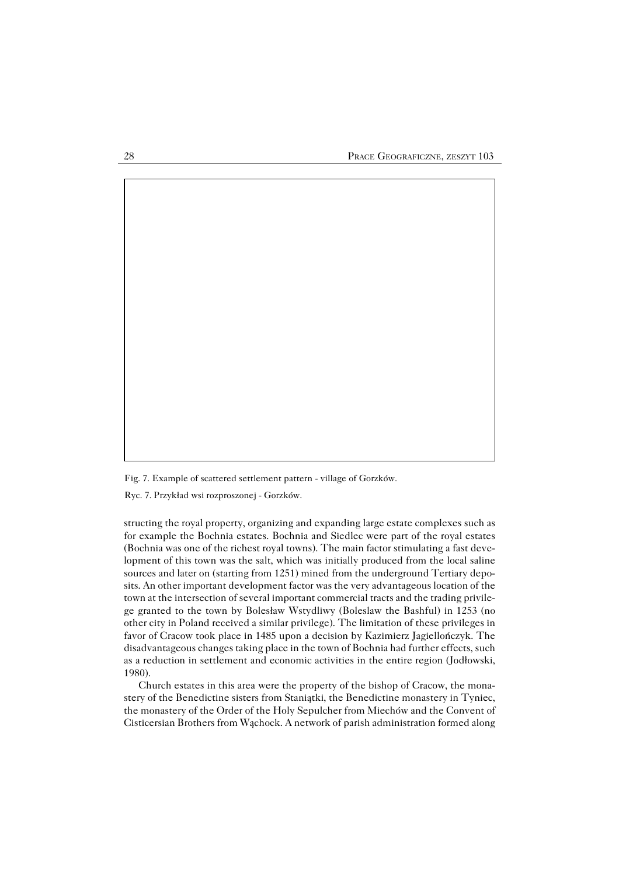Fig. 7. Example of scattered settlement pattern − village of Gorzków.

Ryc. 7. Przykład wsi rozproszonej − Gorzków.

structing the royal property, organizing and expanding large estate complexes such as for example the Bochnia estates. Bochnia and Siedlec were part of the royal estates (Bochnia was one of the richest royal towns). The main factor stimulating a fast deve− lopment of this town was the salt, which was initially produced from the local saline sources and later on (starting from 1251) mined from the underground Tertiary depo− sits. An other important development factor was the very advantageous location of the town at the intersection of several important commercial tracts and the trading privile− ge granted to the town by Bolesław Wstydliwy (Boleslaw the Bashful) in 1253 (no other city in Poland received a similar privilege). The limitation of these privileges in favor of Cracow took place in 1485 upon a decision by Kazimierz Jagiellończyk. The disadvantageous changes taking place in the town of Bochnia had further effects, such as a reduction in settlement and economic activities in the entire region (Jodłowski, 1980).

Church estates in this area were the property of the bishop of Cracow, the mona− stery of the Benedictine sisters from Staniątki, the Benedictine monastery in Tyniec, the monastery of the Order of the Holy Sepulcher from Miechów and the Convent of Cisticersian Brothers from Wąchock. A network of parish administration formed along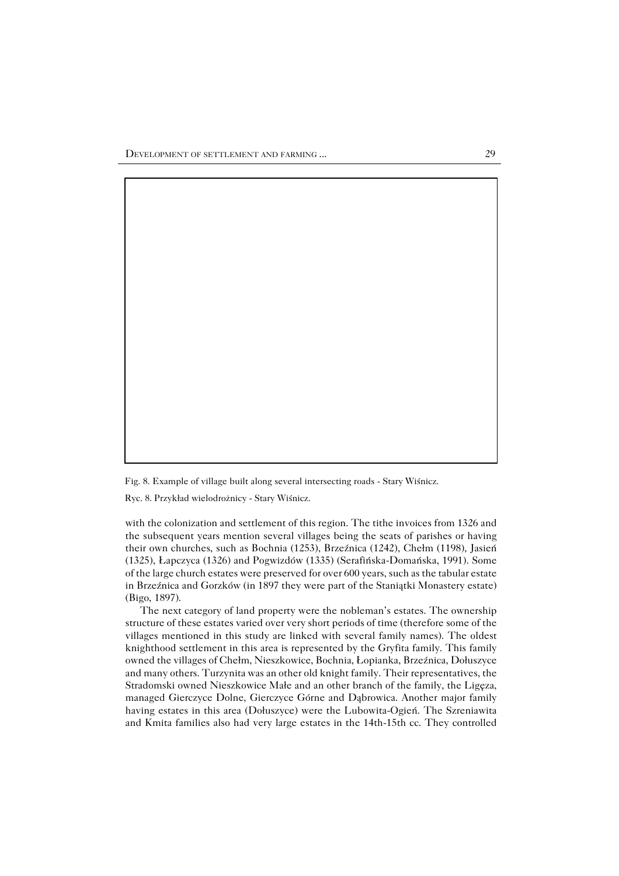Fig. 8. Example of village built along several intersecting roads − Stary Wiśnicz.

Ryc. 8. Przykład wielodrożnicy − Stary Wiśnicz.

with the colonization and settlement of this region. The tithe invoices from 1326 and the subsequent years mention several villages being the seats of parishes or having their own churches, such as Bochnia (1253), Brzeźnica (1242), Chełm (1198), Jasień (1325), Łapczyca (1326) and Pogwizdów (1335) (Serafińska−Domańska, 1991). Some of the large church estates were preserved for over 600 years, such as the tabular estate in Brzeźnica and Gorzków (in 1897 they were part of the Staniątki Monastery estate) (Bigo, 1897).

The next category of land property were the nobleman's estates. The ownership structure of these estates varied over very short periods of time (therefore some of the villages mentioned in this study are linked with several family names). The oldest knighthood settlement in this area is represented by the Gryfita family. This family owned the villages of Chełm, Nieszkowice, Bochnia, Łopianka, Brzeźnica, Dołuszyce and many others. Turzynita was an other old knight family. Their representatives, the Stradomski owned Nieszkowice Małe and an other branch of the family, the Ligęza, managed Gierczyce Dolne, Gierczyce Górne and Dąbrowica. Another major family having estates in this area (Dołuszyce) were the Lubowita−Ogień. The Szreniawita and Kmita families also had very large estates in the 14th−15th cc. They controlled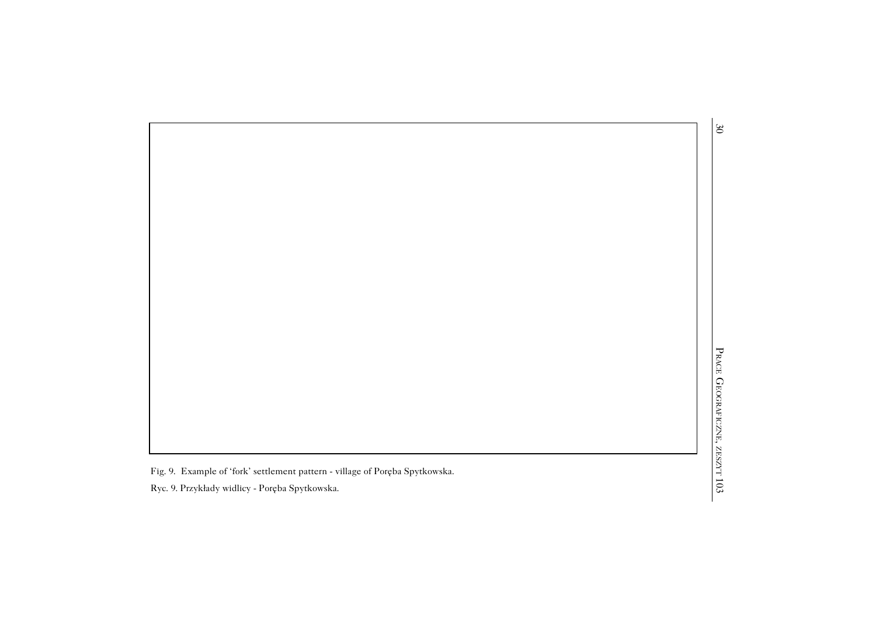Fig. 9. Example of 'fork' settlement pattern − village of Poręba Spytkowska.

103Ryc. 9. Przykłady widlicy − Poręba Spytkowska.

30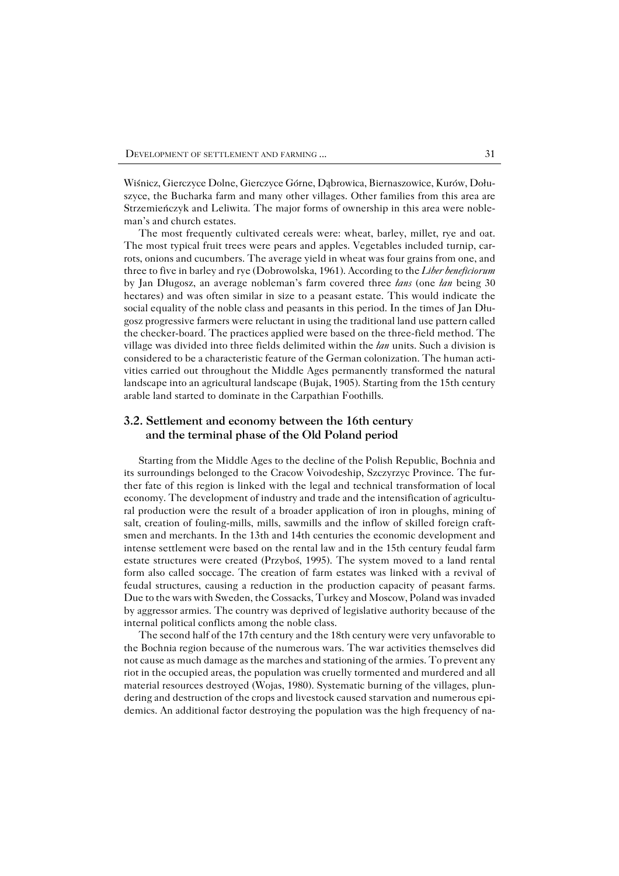Wiśnicz, Gierczyce Dolne, Gierczyce Górne, Dąbrowica, Biernaszowice, Kurów, Dołu− szyce, the Bucharka farm and many other villages. Other families from this area are Strzemieńczyk and Leliwita. The major forms of ownership in this area were noble− man's and church estates.

The most frequently cultivated cereals were: wheat, barley, millet, rye and oat. The most typical fruit trees were pears and apples. Vegetables included turnip, car− rots, onions and cucumbers. The average yield in wheat was four grains from one, and three to five in barley and rye (Dobrowolska, 1961). According to the *Liber beneficiorum* by Jan Długosz, an average nobleman's farm covered three *łans* (one *łan* being 30 hectares) and was often similar in size to a peasant estate. This would indicate the social equality of the noble class and peasants in this period. In the times of Jan Dłu− gosz progressive farmers were reluctant in using the traditional land use pattern called the checker−board. The practices applied were based on the three−field method. The village was divided into three fields delimited within the *łan* units. Such a division is considered to be a characteristic feature of the German colonization. The human acti− vities carried out throughout the Middle Ages permanently transformed the natural landscape into an agricultural landscape (Bujak, 1905). Starting from the 15th century arable land started to dominate in the Carpathian Foothills.

## **3.2. Settlement and economy between the 16th century and the terminal phase of the Old Poland period**

Starting from the Middle Ages to the decline of the Polish Republic, Bochnia and its surroundings belonged to the Cracow Voivodeship, Szczyrzyc Province. The fur− ther fate of this region is linked with the legal and technical transformation of local economy. The development of industry and trade and the intensification of agricultu− ral production were the result of a broader application of iron in ploughs, mining of salt, creation of fouling−mills, mills, sawmills and the inflow of skilled foreign craft− smen and merchants. In the 13th and 14th centuries the economic development and intense settlement were based on the rental law and in the 15th century feudal farm estate structures were created (Przyboś, 1995). The system moved to a land rental form also called soccage. The creation of farm estates was linked with a revival of feudal structures, causing a reduction in the production capacity of peasant farms. Due to the wars with Sweden, the Cossacks, Turkey and Moscow, Poland was invaded by aggressor armies. The country was deprived of legislative authority because of the internal political conflicts among the noble class.

The second half of the 17th century and the 18th century were very unfavorable to the Bochnia region because of the numerous wars. The war activities themselves did not cause as much damage as the marches and stationing of the armies. To prevent any riot in the occupied areas, the population was cruelly tormented and murdered and all material resources destroyed (Wojas, 1980). Systematic burning of the villages, plun− dering and destruction of the crops and livestock caused starvation and numerous epi− demics. An additional factor destroying the population was the high frequency of na−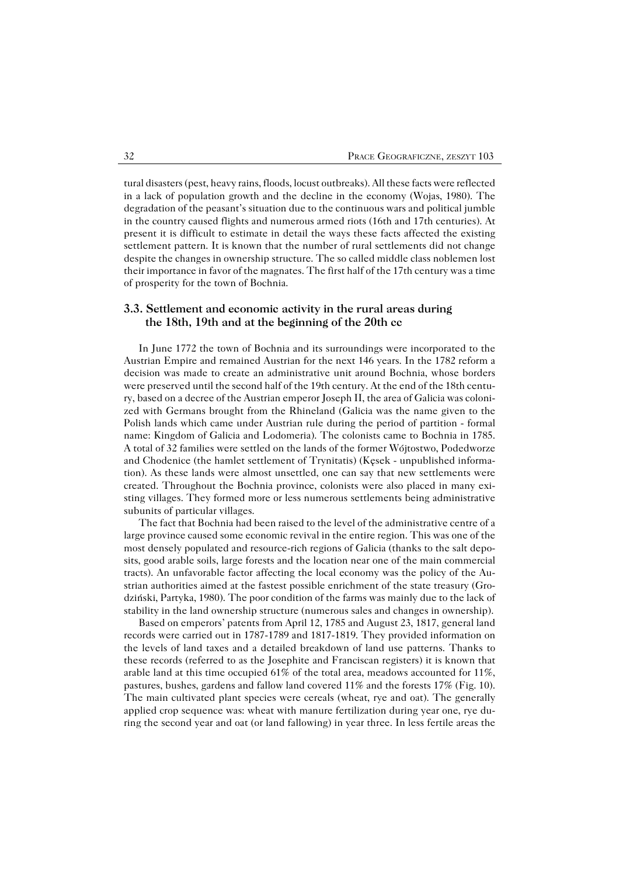tural disasters (pest, heavy rains, floods, locust outbreaks). All these facts were reflected in a lack of population growth and the decline in the economy (Wojas, 1980). The degradation of the peasant's situation due to the continuous wars and political jumble in the country caused flights and numerous armed riots (16th and 17th centuries). At present it is difficult to estimate in detail the ways these facts affected the existing settlement pattern. It is known that the number of rural settlements did not change despite the changes in ownership structure. The so called middle class noblemen lost their importance in favor of the magnates. The first half of the 17th century was a time of prosperity for the town of Bochnia.

### **3.3. Settlement and economic activity in the rural areas during the 18th, 19th and at the beginning of the 20th cc**

In June 1772 the town of Bochnia and its surroundings were incorporated to the Austrian Empire and remained Austrian for the next 146 years. In the 1782 reform a decision was made to create an administrative unit around Bochnia, whose borders were preserved until the second half of the 19th century. At the end of the 18th centu− ry, based on a decree of the Austrian emperor Joseph II, the area of Galicia was coloni− zed with Germans brought from the Rhineland (Galicia was the name given to the Polish lands which came under Austrian rule during the period of partition − formal name: Kingdom of Galicia and Lodomeria). The colonists came to Bochnia in 1785. Atotal of 32 families were settled on the lands of the former Wójtostwo, Podedworze and Chodenice (the hamlet settlement of Trynitatis) (Kęsek − unpublished informa− tion). As these lands were almost unsettled, one can say that new settlements were created. Throughout the Bochnia province, colonists were also placed in many exi− sting villages. They formed more or less numerous settlements being administrative subunits of particular villages.

The fact that Bochnia had been raised to the level of the administrative centre of a large province caused some economic revival in the entire region. This was one of the most densely populated and resource−rich regions of Galicia (thanks to the salt depo− sits, good arable soils, large forests and the location near one of the main commercial tracts). An unfavorable factor affecting the local economy was the policy of the Au− strian authorities aimed at the fastest possible enrichment of the state treasury (Gro− dziński, Partyka, 1980). The poor condition of the farms was mainly due to the lack of stability in the land ownership structure (numerous sales and changes in ownership).

Based on emperors' patents from April 12, 1785 and August 23, 1817, general land records were carried out in 1787−1789 and 1817−1819. They provided information on the levels of land taxes and a detailed breakdown of land use patterns. Thanks to these records (referred to as the Josephite and Franciscan registers) it is known that arable land at this time occupied 61% of the total area, meadows accounted for 11%, pastures, bushes, gardens and fallow land covered 11% and the forests 17% (Fig. 10). The main cultivated plant species were cereals (wheat, rye and oat). The generally applied crop sequence was: wheat with manure fertilization during year one, rye du− ring the second year and oat (or land fallowing) in year three. In less fertile areas the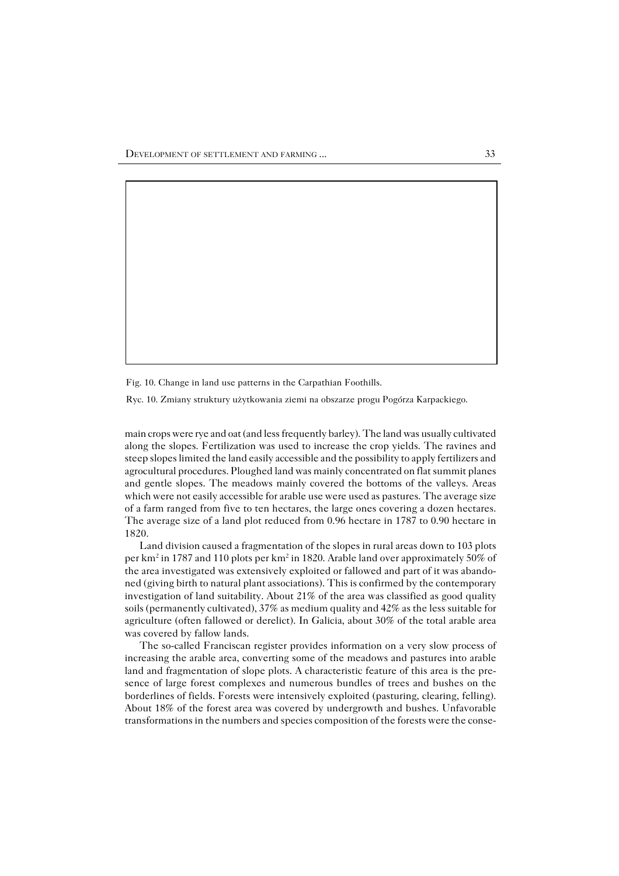Fig. 10. Change in land use patterns in the Carpathian Foothills.

Ryc. 10. Zmiany struktury użytkowania ziemi na obszarze progu Pogórza Karpackiego.

main crops were rye and oat (and less frequently barley). The land was usually cultivated along the slopes. Fertilization was used to increase the crop yields. The ravines and steep slopes limited the land easily accessible and the possibility to apply fertilizers and agrocultural procedures. Ploughed land was mainly concentrated on flat summit planes and gentle slopes. The meadows mainly covered the bottoms of the valleys. Areas which were not easily accessible for arable use were used as pastures. The average size of a farm ranged from five to ten hectares, the large ones covering a dozen hectares. The average size of a land plot reduced from 0.96 hectare in 1787 to 0.90 hectare in 1820.

Land division caused a fragmentation of the slopes in rural areas down to 103 plots per km<sup>2</sup> in 1787 and 110 plots per km<sup>2</sup> in 1820. Arable land over approximately 50% of the area investigated was extensively exploited or fallowed and part of it was abando− ned (giving birth to natural plant associations). This is confirmed by the contemporary investigation of land suitability. About 21% of the area was classified as good quality soils (permanently cultivated), 37% as medium quality and 42% as the less suitable for agriculture (often fallowed or derelict). In Galicia, about 30% of the total arable area was covered by fallow lands.

The so−called Franciscan register provides information on a very slow process of increasing the arable area, converting some of the meadows and pastures into arable land and fragmentation of slope plots. A characteristic feature of this area is the pre− sence of large forest complexes and numerous bundles of trees and bushes on the borderlines of fields. Forests were intensively exploited (pasturing, clearing, felling). About 18% of the forest area was covered by undergrowth and bushes. Unfavorable transformations in the numbers and species composition of the forests were the conse−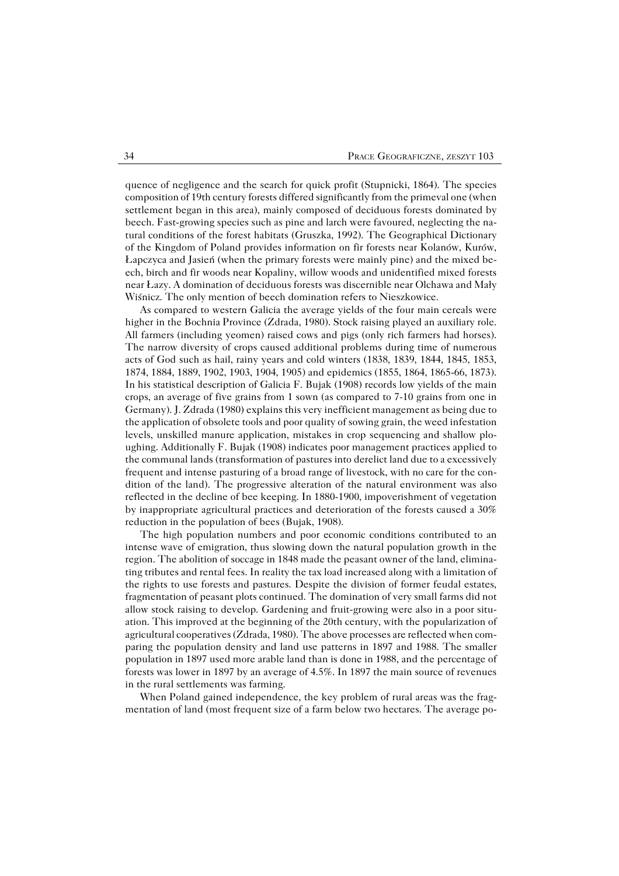quence of negligence and the search for quick profit (Stupnicki, 1864). The species composition of 19th century forests differed significantly from the primeval one (when settlement began in this area), mainly composed of deciduous forests dominated by beech. Fast−growing species such as pine and larch were favoured, neglecting the na− tural conditions of the forest habitats (Gruszka, 1992). The Geographical Dictionary of the Kingdom of Poland provides information on fir forests near Kolanów, Kurów, Łapczyca and Jasień (when the primary forests were mainly pine) and the mixed be− ech, birch and fir woods near Kopaliny, willow woods and unidentified mixed forests near Łazy. A domination of deciduous forests was discernible near Olchawa and Mały Wiśnicz. The only mention of beech domination refers to Nieszkowice.

As compared to western Galicia the average yields of the four main cereals were higher in the Bochnia Province (Zdrada, 1980). Stock raising played an auxiliary role. All farmers (including yeomen) raised cows and pigs (only rich farmers had horses). The narrow diversity of crops caused additional problems during time of numerous acts of God such as hail, rainy years and cold winters (1838, 1839, 1844, 1845, 1853, 1874, 1884, 1889, 1902, 1903, 1904, 1905) and epidemics (1855, 1864, 1865−66, 1873). In his statistical description of Galicia F. Bujak (1908) records low yields of the main crops, an average of five grains from 1 sown (as compared to 7−10 grains from one in Germany). J. Zdrada (1980) explains this very inefficient management as being due to the application of obsolete tools and poor quality of sowing grain, the weed infestation levels, unskilled manure application, mistakes in crop sequencing and shallow plo− ughing. Additionally F. Bujak (1908) indicates poor management practices applied to the communal lands (transformation of pastures into derelict land due to a excessively frequent and intense pasturing of a broad range of livestock, with no care for the con− dition of the land). The progressive alteration of the natural environment was also reflected in the decline of bee keeping. In 1880−1900, impoverishment of vegetation by inappropriate agricultural practices and deterioration of the forests caused a 30% reduction in the population of bees (Bujak, 1908).

The high population numbers and poor economic conditions contributed to an intense wave of emigration, thus slowing down the natural population growth in the region. The abolition of soccage in 1848 made the peasant owner of the land, elimina− ting tributes and rental fees. In reality the tax load increased along with a limitation of the rights to use forests and pastures. Despite the division of former feudal estates, fragmentation of peasant plots continued. The domination of very small farms did not allow stock raising to develop. Gardening and fruit−growing were also in a poor situ− ation. This improved at the beginning of the 20th century, with the popularization of agricultural cooperatives (Zdrada, 1980). The above processes are reflected when com− paring the population density and land use patterns in 1897 and 1988. The smaller population in 1897 used more arable land than is done in 1988, and the percentage of forests was lower in 1897 by an average of 4.5%. In 1897 the main source of revenues in the rural settlements was farming.

When Poland gained independence, the key problem of rural areas was the frag− mentation of land (most frequent size of a farm below two hectares. The average po−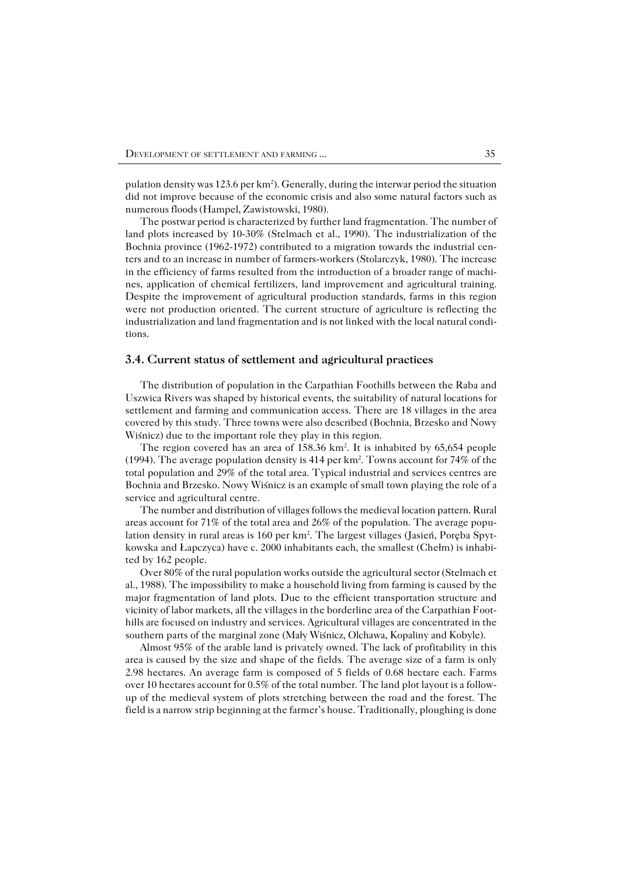pulation density was 123.6 per km<sup>2</sup>). Generally, during the interwar period the situation did not improve because of the economic crisis and also some natural factors such as numerous floods (Hampel, Zawistowski, 1980).

The postwar period is characterized by further land fragmentation. The number of land plots increased by 10−30% (Stelmach et al., 1990). The industrialization of the Bochnia province (1962−1972) contributed to a migration towards the industrial cen− ters and to an increase in number of farmers−workers (Stolarczyk, 1980). The increase in the efficiency of farms resulted from the introduction of a broader range of machi− nes, application of chemical fertilizers, land improvement and agricultural training. Despite the improvement of agricultural production standards, farms in this region were not production oriented. The current structure of agriculture is reflecting the industrialization and land fragmentation and is not linked with the local natural condi− tions.

#### **3.4. Current status of settlement and agricultural practices**

The distribution of population in the Carpathian Foothills between the Raba and Uszwica Rivers was shaped by historical events, the suitability of natural locations for settlement and farming and communication access. There are 18 villages in the area covered by this study. Three towns were also described (Bochnia, Brzesko and Nowy Wiśnicz) due to the important role they play in this region.

The region covered has an area of 158.36 km<sup>2</sup>. It is inhabited by 65,654 people (1994). The average population density is 414 per km<sup>2</sup> . Towns account for 74% of the total population and 29% of the total area. Typical industrial and services centres are Bochnia and Brzesko. Nowy Wiśnicz is an example of small town playing the role of a service and agricultural centre.

The number and distribution of villages follows the medieval location pattern. Rural areas account for 71% of the total area and 26% of the population. The average popu− lation density in rural areas is 160 per km<sup>2</sup>. The largest villages (Jasień, Poręba Spytkowska and Łapczyca) have c. 2000 inhabitants each, the smallest (Chełm) is inhabi− ted by 162 people.

Over 80% of the rural population works outside the agricultural sector (Stelmach et al., 1988). The impossibility to make a household living from farming is caused by the major fragmentation of land plots. Due to the efficient transportation structure and vicinity of labor markets, all the villages in the borderline area of the Carpathian Foot− hills are focused on industry and services. Agricultural villages are concentrated in the southern parts of the marginal zone (Mały Wiśnicz, Olchawa, Kopaliny and Kobyle).

Almost 95% of the arable land is privately owned. The lack of profitability in this area is caused by the size and shape of the fields. The average size of a farm is only 2.98 hectares. An average farm is composed of 5 fields of 0.68 hectare each. Farms over 10 hectares account for 0.5% of the total number. The land plot layout is a follow− up of the medieval system of plots stretching between the road and the forest. The field is a narrow strip beginning at the farmer's house. Traditionally, ploughing is done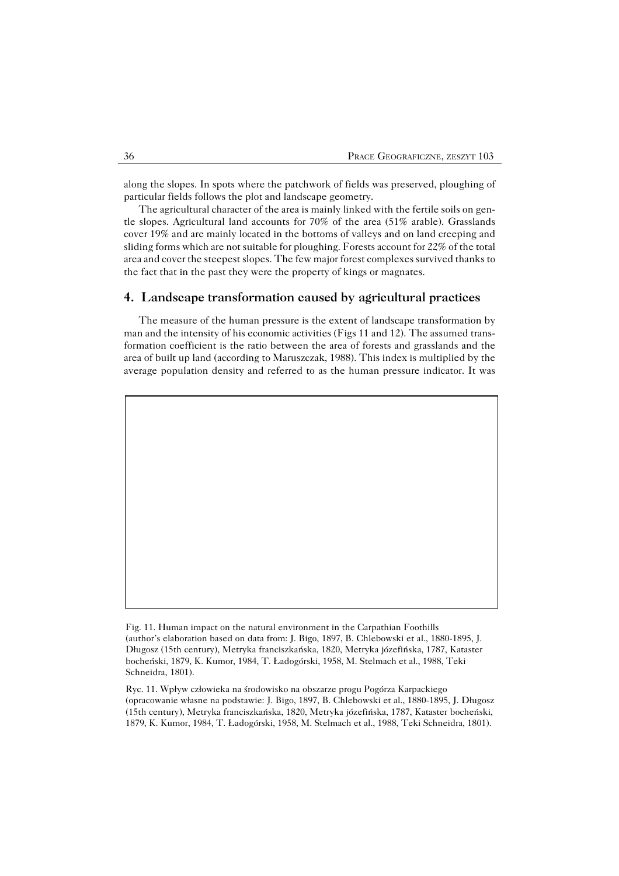along the slopes. In spots where the patchwork of fields was preserved, ploughing of particular fields follows the plot and landscape geometry.

The agricultural character of the area is mainly linked with the fertile soils on gen− tle slopes. Agricultural land accounts for 70% of the area (51% arable). Grasslands cover 19% and are mainly located in the bottoms of valleys and on land creeping and sliding forms which are not suitable for ploughing. Forests account for 22% of the total area and cover the steepest slopes. The few major forest complexes survived thanks to the fact that in the past they were the property of kings or magnates.

## **4. Landscape transformation caused by agricultural practices**

The measure of the human pressure is the extent of landscape transformation by man and the intensity of his economic activities (Figs 11 and 12). The assumed trans− formation coefficient is the ratio between the area of forests and grasslands and the area of built up land (according to Maruszczak, 1988). This index is multiplied by the average population density and referred to as the human pressure indicator. It was

Ryc. 11. Wpływ człowieka na środowisko na obszarze progu Pogórza Karpackiego (opracowanie własne na podstawie: J. Bigo, 1897, B. Chlebowski et al., 1880−1895, J. Długosz (15th century), Metryka franciszkańska, 1820, Metryka józefińska, 1787, Kataster bocheński, 1879, K. Kumor, 1984, T. Ładogórski, 1958, M. Stelmach et al., 1988, Teki Schneidra, 1801).

Fig. 11. Human impact on the natural environment in the Carpathian Foothills (author's elaboration based on data from: J. Bigo, 1897, B. Chlebowski et al., 1880−1895, J. Długosz (15th century), Metryka franciszkańska, 1820, Metryka józefińska, 1787, Kataster bocheński, 1879, K. Kumor, 1984, T. Ładogórski, 1958, M. Stelmach et al., 1988, Teki Schneidra, 1801).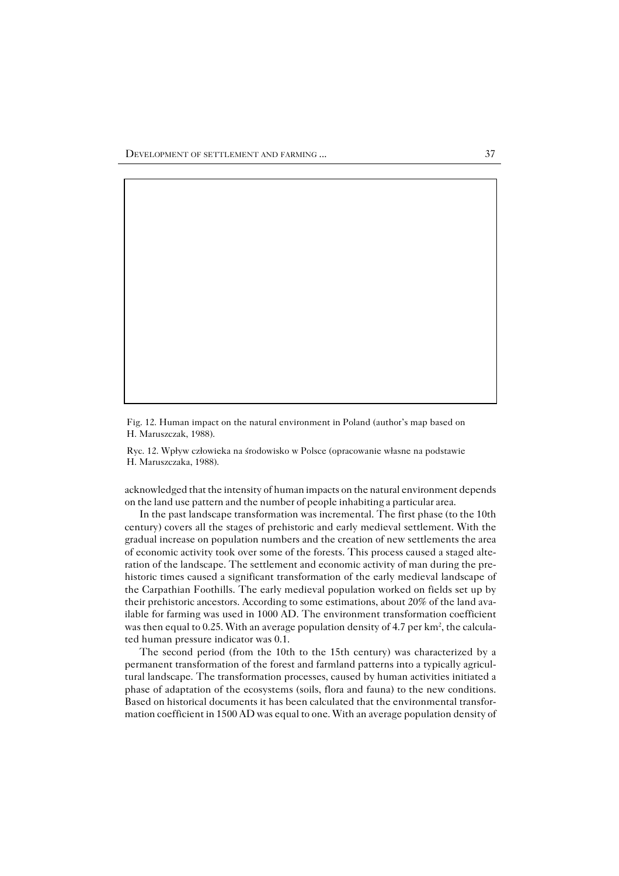Fig. 12. Human impact on the natural environment in Poland (author's map based on H. Maruszczak, 1988).

Ryc. 12. Wpływ człowieka na środowisko w Polsce (opracowanie własne na podstawie H. Maruszczaka, 1988).

acknowledged that the intensity of human impacts on the natural environment depends on the land use pattern and the number of people inhabiting a particular area.

In the past landscape transformation was incremental. The first phase (to the 10th century) covers all the stages of prehistoric and early medieval settlement. With the gradual increase on population numbers and the creation of new settlements the area of economic activity took over some of the forests. This process caused a staged alte− ration of the landscape. The settlement and economic activity of man during the pre− historic times caused a significant transformation of the early medieval landscape of the Carpathian Foothills. The early medieval population worked on fields set up by their prehistoric ancestors. According to some estimations, about 20% of the land ava− ilable for farming was used in 1000 AD. The environment transformation coefficient was then equal to 0.25. With an average population density of 4.7 per  $km^2$ , the calculated human pressure indicator was 0.1.

The second period (from the 10th to the 15th century) was characterized by a permanent transformation of the forest and farmland patterns into a typically agricul− tural landscape. The transformation processes, caused by human activities initiated a phase of adaptation of the ecosystems (soils, flora and fauna) to the new conditions. Based on historical documents it has been calculated that the environmental transfor− mation coefficient in 1500 AD was equal to one. With an average population density of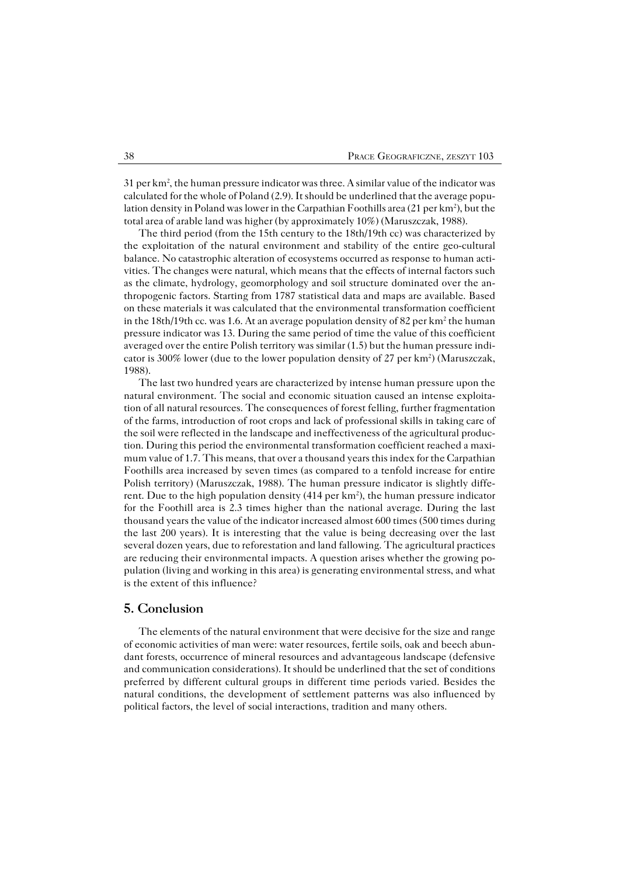31 per km<sup>2</sup>, the human pressure indicator was three. A similar value of the indicator was calculated for the whole of Poland (2.9). It should be underlined that the average popu− lation density in Poland was lower in the Carpathian Foothills area (21 per km<sup>2</sup>), but the total area of arable land was higher (by approximately 10%) (Maruszczak, 1988).

The third period (from the 15th century to the 18th/19th cc) was characterized by the exploitation of the natural environment and stability of the entire geo−cultural balance. No catastrophic alteration of ecosystems occurred as response to human acti− vities. The changes were natural, which means that the effects of internal factors such as the climate, hydrology, geomorphology and soil structure dominated over the an− thropogenic factors. Starting from 1787 statistical data and maps are available. Based on these materials it was calculated that the environmental transformation coefficient in the 18th/19th cc. was 1.6. At an average population density of 82 per km<sup>2</sup> the human pressure indicator was 13. During the same period of time the value of this coefficient averaged over the entire Polish territory was similar (1.5) but the human pressure indi− cator is 300% lower (due to the lower population density of 27 per km<sup>2</sup>) (Maruszczak, 1988).

The last two hundred years are characterized by intense human pressure upon the natural environment. The social and economic situation caused an intense exploita− tion of all natural resources. The consequences of forest felling, further fragmentation of the farms, introduction of root crops and lack of professional skills in taking care of the soil were reflected in the landscape and ineffectiveness of the agricultural produc− tion. During this period the environmental transformation coefficient reached a maxi− mum value of 1.7. This means, that over a thousand years this index for the Carpathian Foothills area increased by seven times (as compared to a tenfold increase for entire Polish territory) (Maruszczak, 1988). The human pressure indicator is slightly diffe− rent. Due to the high population density (414 per  $km^2$ ), the human pressure indicator for the Foothill area is 2.3 times higher than the national average. During the last thousand years the value of the indicator increased almost 600 times (500 times during the last 200 years). It is interesting that the value is being decreasing over the last several dozen years, due to reforestation and land fallowing. The agricultural practices are reducing their environmental impacts. A question arises whether the growing po− pulation (living and working in this area) is generating environmental stress, and what is the extent of this influence?

## **5. Conclusion**

The elements of the natural environment that were decisive for the size and range of economic activities of man were: water resources, fertile soils, oak and beech abun− dant forests, occurrence of mineral resources and advantageous landscape (defensive and communication considerations). It should be underlined that the set of conditions preferred by different cultural groups in different time periods varied. Besides the natural conditions, the development of settlement patterns was also influenced by political factors, the level of social interactions, tradition and many others.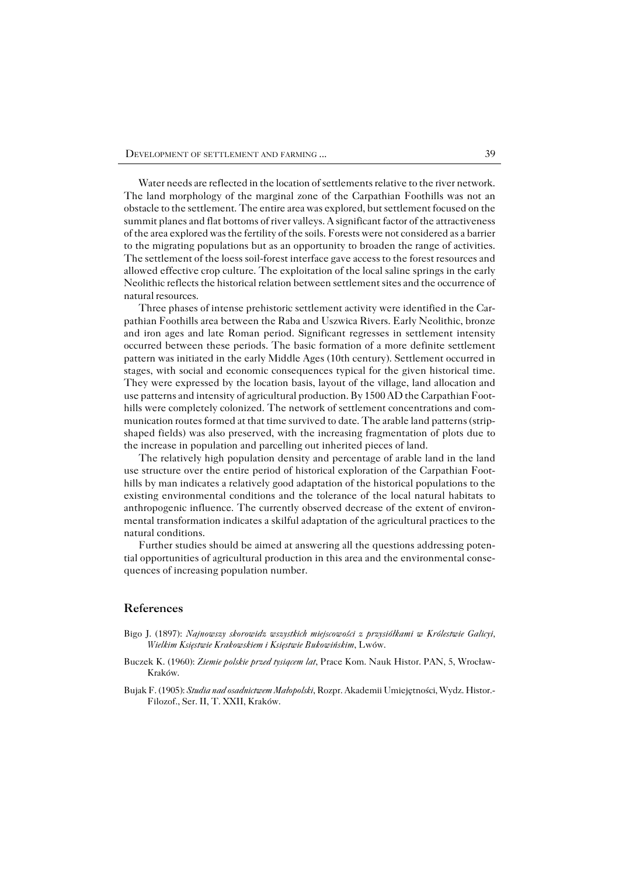Water needs are reflected in the location of settlements relative to the river network. The land morphology of the marginal zone of the Carpathian Foothills was not an obstacle to the settlement. The entire area was explored, but settlement focused on the summit planes and flat bottoms of river valleys. A significant factor of the attractiveness of the area explored was the fertility of the soils. Forests were not considered as a barrier to the migrating populations but as an opportunity to broaden the range of activities. The settlement of the loess soil−forest interface gave access to the forest resources and allowed effective crop culture. The exploitation of the local saline springs in the early Neolithic reflects the historical relation between settlement sites and the occurrence of natural resources.

Three phases of intense prehistoric settlement activity were identified in the Car− pathian Foothills area between the Raba and Uszwica Rivers. Early Neolithic, bronze and iron ages and late Roman period. Significant regresses in settlement intensity occurred between these periods. The basic formation of a more definite settlement pattern was initiated in the early Middle Ages (10th century). Settlement occurred in stages, with social and economic consequences typical for the given historical time. They were expressed by the location basis, layout of the village, land allocation and use patterns and intensity of agricultural production. By 1500 AD the Carpathian Foot− hills were completely colonized. The network of settlement concentrations and com− munication routes formed at that time survived to date. The arable land patterns (strip− shaped fields) was also preserved, with the increasing fragmentation of plots due to the increase in population and parcelling out inherited pieces of land.

The relatively high population density and percentage of arable land in the land use structure over the entire period of historical exploration of the Carpathian Foot− hills by man indicates a relatively good adaptation of the historical populations to the existing environmental conditions and the tolerance of the local natural habitats to anthropogenic influence. The currently observed decrease of the extent of environ− mental transformation indicates a skilful adaptation of the agricultural practices to the natural conditions.

Further studies should be aimed at answering all the questions addressing poten− tial opportunities of agricultural production in this area and the environmental conse− quences of increasing population number.

## **References**

- Bigo J. (1897): *Najnowszy skorowidz wszystkich miejscowości z przysiółkami w Królestwie Galicyi, Wielkim Księstwie Krakowskiem i Księstwie Bukowińskim*, Lwów.
- Buczek K. (1960): *Ziemie polskie przed tysiącem lat*, Prace Kom. Nauk Histor. PAN, 5, Wrocław− Kraków.
- Bujak F. (1905): *Studia nad osadnictwem Małopolski*, Rozpr. Akademii Umiejętności, Wydz. Histor.− Filozof., Ser. II, T. XXII, Kraków.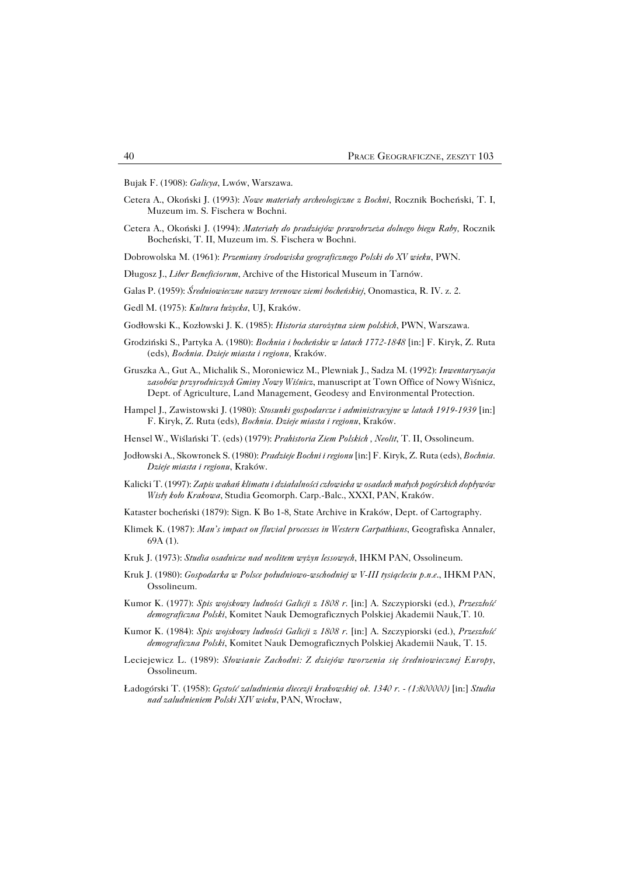Bujak F. (1908): *Galicya*, Lwów, Warszawa.

- Cetera A., Okoński J. (1993): *Nowe materiały archeologiczne z Bochni*, Rocznik Bocheński, T. I, Muzeum im. S. Fischera w Bochni.
- Cetera A., Okoński J. (1994): *Materiały do pradziejów prawobrzeża dolnego biegu Raby,* Rocznik Bocheński, T. II, Muzeum im. S. Fischera w Bochni.
- Dobrowolska M. (1961): *Przemiany środowiska geograficznego Polski do XV wieku*, PWN.
- Długosz J., *Liber Beneficiorum*, Archive of the Historical Museum in Tarnów.
- Galas P. (1959): *Średniowieczne nazwy terenowe ziemi bocheńskiej*, Onomastica, R.IV. z.2.
- Gedl M. (1975): *Kultura łużycka*, UJ, Kraków.
- Godłowski K., Kozłowski J. K. (1985): *Historia starożytna ziem polskich*, PWN, Warszawa.
- Grodziński S., Partyka A. (1980): *Bochnia i bocheńskie w latach 1772−1848* [in:] F. Kiryk, Z. Ruta (eds), *Bochnia. Dzieje miasta i regionu,* Kraków.
- Gruszka A., Gut A., Michalik S., Moroniewicz M., Plewniak J., Sadza M. (1992): *Inwentaryzacja zasobów przyrodniczych Gminy Nowy Wiśnicz*, manuscript at Town Office of Nowy Wiśnicz, Dept. of Agriculture, Land Management, Geodesy and Environmental Protection.
- Hampel J., Zawistowski J. (1980): *Stosunki gospodarcze i administracyjne w latach 1919−1939* [in:] F. Kiryk, Z. Ruta (eds), *Bochnia. Dzieje miasta i regionu*, Kraków.
- Hensel W., Wiślański T. (eds) (1979): *Prahistoria Ziem Polskich , Neolit*, T. II, Ossolineum.
- Jodłowski A., Skowronek S. (1980): *Pradzieje Bochni i regionu* [in:] F. Kiryk, Z. Ruta (eds), *Bochnia. Dzieje miasta i regionu*, Kraków.
- Kalicki T. (1997): *Zapis wahań klimatu i działalności człowieka w osadach małych pogórskich dopływów Wisły koło Krakowa*, Studia Geomorph. Carp.−Balc., XXXI, PAN, Kraków.
- Kataster bocheński (1879): Sign. K Bo 1−8, State Archive in Kraków, Dept. of Cartography.
- Klimek K. (1987): *Man's impact on fluvial processes in Western Carpathians*, Geografiska Annaler, 69A (1).
- Kruk J. (1973): *Studia osadnicze nad neolitem wyżyn lessowych*, IHKM PAN, Ossolineum.
- Kruk J. (1980): *Gospodarka w Polsce południowo−wschodniej w V−III tysiącleciu p.n.e*., IHKM PAN, Ossolineum.
- Kumor K. (1977): *Spis wojskowy ludności Galicji z 1808 r*. [in:] A. Szczypiorski (ed.), *Przeszłość demograficzna Polski*, Komitet Nauk Demograficznych Polskiej Akademii Nauk,T.10.
- Kumor K. (1984): *Spis wojskowy ludności Galicji z 1808 r*. [in:] A. Szczypiorski (ed.), *Przeszłość demograficzna Polski*, Komitet Nauk Demograficznych Polskiej Akademii Nauk, T.15.
- Leciejewicz L. (1989): *Słowianie Zachodni: Z dziejów tworzenia się średniowiecznej Europy*, Ossolineum.
- Ładogórski T. (1958): *Gęstość zaludnienia diecezji krakowskiej ok. 1340 r. − (1:800000)* [in:] *Studia nad zaludnieniem Polski XIV wieku*, PAN, Wrocław,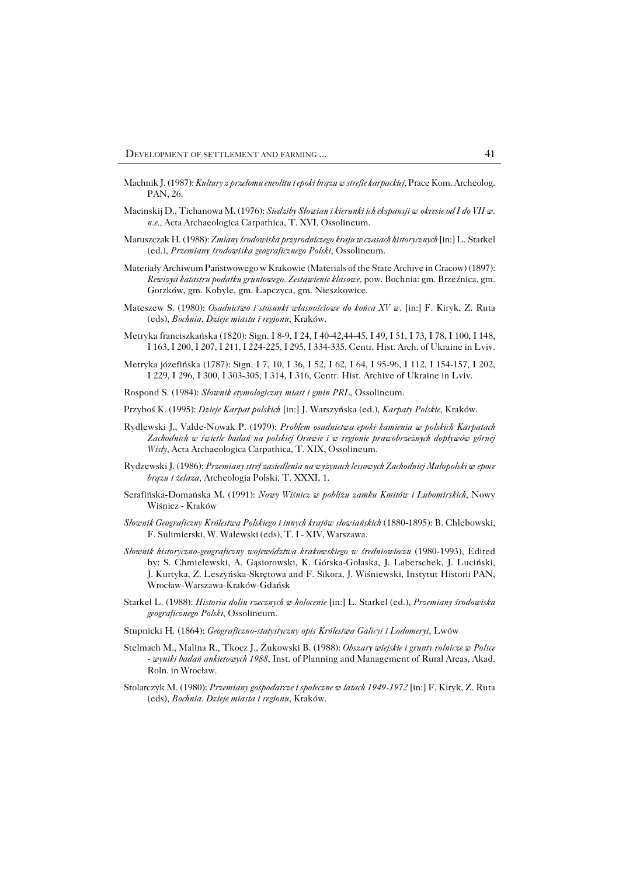- Machnik J. (1987): *Kultury z przełomu eneolitu i epoki brązu w strefie karpackiej*, Prace Kom. Archeolog. PAN, 26.
- Macinskij D., Tichanowa M. (1976): *Siedziby Słowian i kierunki ich ekspansji wokresie od I do VII w. n.e.,* Acta Archaeologica Carpathica, T. XVI, Ossolineum.
- Maruszczak H. (1988): *Zmiany środowiska przyrodniczego kraju w czasach historycznych* [in:] L.Starkel (ed.), *Przemiany środowiska geograficznego Polski*, Ossolineum.
- Materiały Archiwum Państwowego w Krakowie (Materials of the State Archive in Cracow) (1897): *Rewizya katastru podatku gruntowego. Zestawienie klasowe,* pow. Bochnia: gm. Brzeźnica, gm. Gorzków, gm. Kobyle, gm. Łapczyca, gm. Nieszkowice.
- Mateszew S. (1980): *Osadnictwo i stosunki własnościowe do końca XV w*. [in:] F. Kiryk, Z. Ruta (eds), *Bochnia. Dzieje miasta i regionu*, Kraków.
- Metryka franciszkańska (1820): Sign. I 8−9, I 24, I 40−42,44−45, I 49, I 51, I 73, I 78, I 100, I 148, I 163, I 200, I 207, I 211, I 224−225, I 295, I 334−335, Centr. Hist. Arch. of Ukraine in Lviv.
- Metryka józefińska (1787): Sign. I 7, 10, I 36, I 52, I 62, I 64, I 95−96, I 112, I 154−157, I 202, I229, I 296, I 300, I 303−305, I 314, I 316, Centr. Hist. Archive of Ukraine in Lviv.
- Rospond S. (1984): *Słownik etymologiczny miast i gmin PRL*, Ossolineum.
- Przyboś K. (1995): *Dzieje Karpat polskich* [in:] J. Warszyńska (ed.), *Karpaty Polskie*, Kraków.
- Rydlewski J., Valde−Nowak P. (1979): *Problem osadnictwa epoki kamienia w polskich Karpatach Zachodnich w świetle badań na polskiej Orawie i w regionie prawobrzeżnych dopływów górnej Wisły*, Acta Archaeologica Carpathica, T. XIX, Ossolineum.
- Rydzewski J. (1986): *Przemiany stref zasiedlenia na wyżynach lessowych Zachodniej Małopolski wepoce brązu i żelaza*, Archeologia Polski, T. XXXI, 1.
- Serafińska−Domańska M. (1991): *Nowy Wiśnicz w pobliżu zamku Kmitów i Lubomirskich*, Nowy Wiśnicz − Kraków
- *Słownik Geograficzny Królestwa Polskiego i innych krajów słowiańskich* (1880−1895): B. Chlebowski, F. Sulimierski, W. Walewski (eds), T. I − XIV, Warszawa.
- *Słownik historyczno−geograficzny województwa krakowskiego w średniowieczu* (1980−1993), Edited by: S. Chmielewski, A. Gąsiorowski, K. Górska−Gołaska, J. Laberschek, J. Luciński, J.Kurtyka, Z. Leszyńska−Skrętowa and F. Sikora, J. Wiśniewski, Instytut Historii PAN, Wrocław−Warszawa−Kraków−Gdańsk
- Starkel L. (1988): *Historia dolin rzecznych w holocenie* [in:] L. Starkel (ed.), *Przemiany środowiska geograficznego Polski*, Ossolineum.
- Stupnicki H. (1864): *Geograficzno−statystyczny opis Królestwa Galicyi i Lodomeryi*, Lwów
- Stelmach M., Malina R., Tkocz J., Żukowski B. (1988): *Obszary wiejskie i grunty rolnicze w Polsce − wyniki badań ankietowych 1988*, Inst. of Planning and Management of Rural Areas, Akad. Roln. in Wrocław.
- Stolarczyk M. (1980): *Przemiany gospodarcze i społeczne w latach 1949−1972* [in:] F. Kiryk, Z. Ruta (eds), *Bochnia. Dzieje miasta i regionu*, Kraków.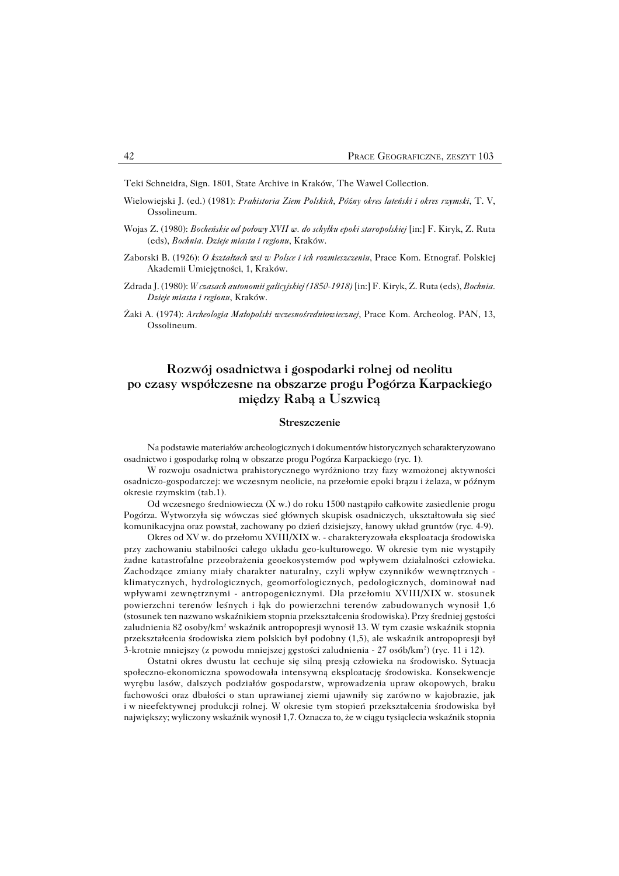Teki Schneidra, Sign. 1801, State Archive in Kraków, The Wawel Collection.

- Wielowiejski J. (ed.) (1981): *Prahistoria Ziem Polskich, Późny okres lateński i okres rzymski*, T. V, Ossolineum.
- Wojas Z. (1980): *Bocheńskie od połowy XVII w. do schyłku epoki staropolskiej* [in:] F. Kiryk, Z. Ruta (eds), *Bochnia. Dzieje miasta i regionu*, Kraków.
- Zaborski B. (1926): *O kształtach wsi w Polsce i ich rozmieszczeniu*, Prace Kom. Etnograf. Polskiej Akademii Umiejętności, 1, Kraków.
- Zdrada J. (1980): *W czasach autonomii galicyjskiej (1850−1918)* [in:] F. Kiryk, Z. Ruta (eds), *Bochnia. Dzieje miasta i regionu*, Kraków.
- Żaki A. (1974): *Archeologia Małopolski wczesnośredniowiecznej*, Prace Kom. Archeolog. PAN, 13, Ossolineum.

## **Rozwój osadnictwa i gospodarki rolnej od neolitu po czasy współczesne na obszarze progu Pogórza Karpackiego między Rabą a Uszwicą**

#### **Streszczenie**

Na podstawie materiałów archeologicznych i dokumentów historycznych scharakteryzowano osadnictwo i gospodarkę rolną w obszarze progu Pogórza Karpackiego (ryc.1).

Wrozwoju osadnictwa prahistorycznego wyróżniono trzy fazy wzmożonej aktywności osadniczo−gospodarczej: we wczesnym neolicie, na przełomie epoki brązu i żelaza, w późnym okresie rzymskim (tab.1).

Od wczesnego średniowiecza (X w.) do roku 1500 nastąpiło całkowite zasiedlenie progu Pogórza. Wytworzyła się wówczas sieć głównych skupisk osadniczych, ukształtowała się sieć komunikacyjna oraz powstał, zachowany po dzień dzisiejszy, łanowy układ gruntów (ryc. 4−9).

Okres od XV w. do przełomu XVIII/XIX w. − charakteryzowała eksploatacja środowiska przy zachowaniu stabilności całego układu geo−kulturowego. W okresie tym nie wystąpiły żadne katastrofalne przeobrażenia geoekosystemów pod wpływem działalności człowieka. Zachodzące zmiany miały charakter naturalny, czyli wpływ czynników wewnętrznych − klimatycznych, hydrologicznych, geomorfologicznych, pedologicznych, dominował nad wpływami zewnętrznymi - antropogenicznymi. Dla przełomiu XVIII/XIX w. stosunek powierzchni terenów leśnych i łąk do powierzchni terenów zabudowanych wynosił 1,6 (stosunek ten nazwano wskaźnikiem stopnia przekształcenia środowiska). Przy średniej gęstości zaludnienia 82 osoby/km² wskaźnik antropopresji wynosił 13. W tym czasie wskaźnik stopnia przekształcenia środowiska ziem polskich był podobny (1,5), ale wskaźnik antropopresji był 3−krotnie mniejszy (z powodu mniejszej gęstości zaludnienia − 27 osób/km<sup>2</sup> ) (ryc. 11 i 12).

Ostatni okres dwustu lat cechuje się silną presją człowieka na środowisko. Sytuacja społeczno−ekonomiczna spowodowała intensywną eksploatację środowiska. Konsekwencje wyrębu lasów, dalszych podziałów gospodarstw, wprowadzenia upraw okopowych, braku fachowości oraz dbałości o stan uprawianej ziemi ujawniły się zarówno w kajobrazie, jak iwnieefektywnej produkcji rolnej. W okresie tym stopień przekształcenia środowiska był największy; wyliczony wskaźnik wynosił 1,7. Oznacza to, że w ciągu tysiąclecia wskaźnik stopnia